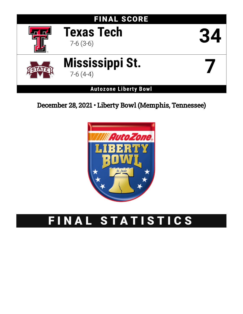

December 28, 2021 • Liberty Bowl (Memphis, Tennessee)



# FINAL STATISTICS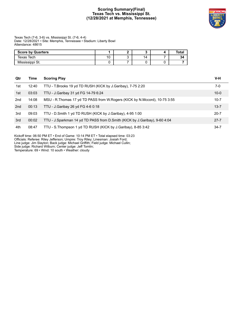# **Scoring Summary(Final) Texas Tech vs. Mississippi St. (12/28/2021 at Memphis, Tennessee)**



Texas Tech (7-6; 3-6) vs. Mississippi St. (7-6; 4-4) Date: 12/28/2021 • Site: Memphis, Tennessee • Stadium: Liberty Bowl Attendance: 48615

| <b>Score by Quarters</b> |    |    | Total |
|--------------------------|----|----|-------|
| Texas Tech               | 10 | 14 | 34    |
| Mississippi St.          |    |    |       |

| Qtr | Time  | <b>Scoring Play</b>                                                          | V-H      |
|-----|-------|------------------------------------------------------------------------------|----------|
| 1st | 12:40 | TTU - T.Brooks 19 yd TD RUSH (KICK by J.Garibay), 7-75 2:20                  | 7-0      |
| 1st | 03:03 | TTU - J.Garibay 31 yd FG 14-79 6:24                                          | $10 - 0$ |
| 2nd | 14:08 | MSU - R. Thomas 17 yd TD PASS from W. Rogers (KICK by N. Mccord), 10-75 3:55 | $10-7$   |
| 2nd | 00:13 | TTU - J.Garibay 26 yd FG 4-6 0:18                                            | $13 - 7$ |
| 3rd | 09:03 | TTU - D.Smith 1 yd TD RUSH (KICK by J.Garibay), 4-95 1:00                    | $20 - 7$ |
| 3rd | 00:02 | TTU - J.Sparkman 14 yd TD PASS from D.Smith (KICK by J.Garibay), 9-60 4:04   | $27 - 7$ |
| 4th | 08:47 | TTU - S. Thompson 1 yd TD RUSH (KICK by J. Garibay), 8-85 3:42               | $34 - 7$ |

Kickoff time: 06:50 PM ET • End of Game: 10:14 PM ET • Total elapsed time: 03:23 Officials: Referee: Riley Jefferson; Umpire: Troy Riley; Linesman: Josiah Ford;

Line judge: Jim Slayton; Back judge: Michael Griffith; Field judge: Michael Cullin;

Side judge: Richard Wilburn; Center judge: Jeff Tomlin;

Temperature: 69 • Wind: 10 south • Weather: cloudy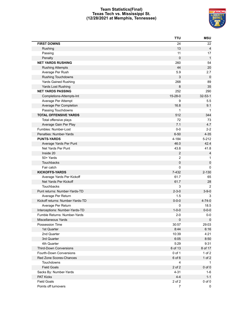# **Team Statistics(Final) Texas Tech vs. Mississippi St. (12/28/2021 at Memphis, Tennessee)**



|                                  | TTU            | <b>MSU</b>     |
|----------------------------------|----------------|----------------|
| <b>FIRST DOWNS</b>               | 24             | 22             |
| Rushing                          | 13             | $\overline{4}$ |
| Passing                          | 11             | 17             |
| Penalty                          | 0              | $\mathbf{1}$   |
| <b>NET YARDS RUSHING</b>         | 260            | 54             |
| <b>Rushing Attempts</b>          | 44             | 20             |
| Average Per Rush                 | 5.9            | 2.7            |
| <b>Rushing Touchdowns</b>        | 3              | $\mathbf 0$    |
| <b>Yards Gained Rushing</b>      | 268            | 89             |
| Yards Lost Rushing               | 8              | 35             |
| <b>NET YARDS PASSING</b>         | 252            | 290            |
| Completions-Attempts-Int         | 15-28-0        | $32 - 53 - 1$  |
| Average Per Attempt              | 9              | 5.5            |
| Average Per Completion           | 16.8           | 9.1            |
| Passing Touchdowns               | 1              | $\mathbf 1$    |
| <b>TOTAL OFFENSIVE YARDS</b>     | 512            | 344            |
| Total offensive plays            | 72             | 73             |
| Average Gain Per Play            | 7.1            | 4.7            |
| Fumbles: Number-Lost             | $0-0$          | $2 - 2$        |
| Penalties: Number-Yards          | $6 - 50$       | $4 - 35$       |
| <b>PUNTS-YARDS</b>               | 4-184          | $5 - 212$      |
| Average Yards Per Punt           | 46.0           | 42.4           |
| Net Yards Per Punt               | 43.8           | 41.8           |
| Inside 20                        | $\mathbf{2}$   | 4              |
| 50+ Yards                        | $\overline{2}$ | 1              |
| Touchbacks                       | 0              | $\pmb{0}$      |
| Fair catch                       | 0              | $\Omega$       |
| <b>KICKOFFS-YARDS</b>            | 7-432          | $2 - 130$      |
| Average Yards Per Kickoff        | 61.7           | 65             |
| Net Yards Per Kickoff            | 61.7           | 28             |
| Touchbacks                       | 3              | 2              |
| Punt returns: Number-Yards-TD    | $2 - 3 - 0$    | $3 - 9 - 0$    |
| Average Per Return               | 1.5            | 3              |
| Kickoff returns: Number-Yards-TD | $0 - 0 - 0$    | $4 - 74 - 0$   |
| Average Per Return               | 0              | 18.5           |
| Interceptions: Number-Yards-TD   | $1 - 0 - 0$    | $0 - 0 - 0$    |
| Fumble Returns: Number-Yards     | $2 - 0$        | $0-0$          |
| Miscellaneous Yards              | $\pmb{0}$      | $\mathbf 0$    |
| Possession Time                  | 30:57          | 29:03          |
| 1st Quarter                      | 8:44           | 6:16           |
| 2nd Quarter                      | 10:39          | 4:21           |
| 3rd Quarter                      | 6:05           | 8:50           |
| 4th Quarter                      | 5:29           | 9:31           |
| <b>Third-Down Conversions</b>    | 6 of 13        | 8 of 17        |
| Fourth-Down Conversions          | 0 of 1         | $1$ of $2$     |
| Red Zone Scores-Chances          | 6 of 6         | $1$ of $2$     |
| Touchdowns                       | 4              | $\mathbf{1}$   |
| <b>Field Goals</b>               | 2 of 2         | $0$ of $0$     |
| Sacks By: Number-Yards           | $4 - 31$       | 1-6            |
| PAT Kicks                        | $4 - 4$        | $1 - 1$        |
| <b>Field Goals</b>               | 2 of 2         | $0$ of $0$     |
| Points off turnovers             | $\overline{7}$ | 0              |
|                                  |                |                |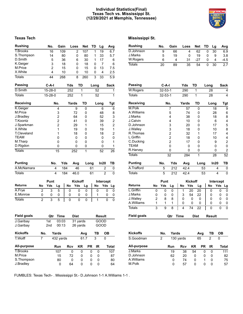# **Individual Statistics(Final) Texas Tech vs. Mississippi St. (12/28/2021 at Memphis, Tennessee)**



# **Texas Tech Mississippi St.**

| <b>Rushing</b>     |                | No.            | Gain           |            | Loss           | Net            |           | TD   | Lg             | Avg                                   |
|--------------------|----------------|----------------|----------------|------------|----------------|----------------|-----------|------|----------------|---------------------------------------|
| <b>T.Brooks</b>    |                | 16             | 109            |            | $\overline{2}$ | 107            |           | 1    | 19             | 6.7                                   |
| S.Thompson         |                | 14             | 80             |            | 0              | 80             |           | 1    | 33             | 5.7                                   |
| D.Smith            |                | 5              | 36             |            | 6              | 30             |           | 1    | 17             | 6                                     |
| K.Geiger           |                | 3              | 18             |            | 0              | 18             |           | 0    | 7              | 6                                     |
| M.Price            |                | $\overline{c}$ | 15             |            | 0              | 15             |           | 0    | 13             | 7.5                                   |
| X.White            |                | 4              | 10             |            | 0              | 10             |           | 0    | 4              | 2.5                                   |
| <b>Totals</b>      |                | 44             | 268            |            | 8              | 260            |           | 3    | 33             | 5.9                                   |
| Passing            |                | C-A-I          |                | Yds        |                | TD             |           | Long |                | Sack                                  |
| D.Smith            |                | 15-28-0        |                | 252        |                | 1              |           | 52   |                | $\mathbf 1$                           |
| <b>Totals</b>      |                | $15 - 28 - 0$  |                | 252        |                | 1              |           | 52   |                | $\overline{1}$                        |
| <b>Receiving</b>   |                |                | No.            |            | Yards          | TD             |           |      | Long           | <b>Tgt</b>                            |
| K.Geiger           |                |                | 4              |            | 9              | 0              |           |      | 6              | 6                                     |
| M.Price            |                |                | 3              |            | 72             | 0              |           |      | 48             | 8                                     |
| J.Bradley          |                |                | $\overline{c}$ |            | 64             | 0              |           |      | 52             | 3                                     |
| T.Koontz           |                |                | $\overline{2}$ |            | 41             | 0              |           |      | 39             | $\overline{\mathbf{c}}$               |
| J.Sparkman         |                |                | $\overline{2}$ |            | 29             | 1              |           |      | 15             | $\begin{array}{c} 2 \\ 1 \end{array}$ |
| X.White            |                |                | 1              |            | 19             | 0              |           |      | 19             |                                       |
| <b>T.Cleveland</b> |                |                | 1              |            | 18             | 0              |           |      | 18             | $\overline{\mathbf{c}}$               |
| <b>TEAM</b>        |                |                | 0              |            | 0              | 0              |           |      | 0              | 0                                     |
| M.Tharp            |                |                | 0              |            | 0              | 0              |           |      | 0              | 1                                     |
| D.Rigdon           |                |                | 0              |            | 0              | 0              |           |      | 0              | 1                                     |
| <b>Totals</b>      |                |                | 15             |            | 252            | $\overline{1}$ |           |      | 52             | 26                                    |
| <b>Punting</b>     |                | No.            |                | Yds        | Avg            |                | Long      |      | In20           | ΤВ                                    |
| A.McNamara         |                |                | 4              | 184        | 46             |                | 61        |      | 2              | 0                                     |
|                    |                |                |                |            |                |                |           |      |                |                                       |
| <b>Totals</b>      |                |                | 4              | 184        | 46.0           |                | 61        |      | $\overline{2}$ | 0                                     |
|                    |                | Punt           |                |            | <b>Kickoff</b> |                |           |      | Intercept      |                                       |
| <b>Returns</b>     | No             | Yds            | Lg             | No         | Yds            | Lg             |           | No   | Yds            | Lg                                    |
| A.Frye             | $\overline{c}$ | 3              | 5              | 0          |                | 0<br>0         |           | 0    |                | 0<br>0                                |
| E.Monroe           | 0              | 0              | 0              | 0          |                | 0<br>0         |           | 1    |                | 0<br>0                                |
| <b>Totals</b>      | $\overline{2}$ | 3              | 5              | 0          |                | 0<br>0         |           | 1    |                | 0<br>0                                |
|                    |                |                |                |            |                |                |           |      |                |                                       |
| <b>Field goals</b> |                | Qtr            | Time           |            | Dist           |                |           |      | Result         |                                       |
| J.Garibay          |                | 1st            | 03:03          |            | 31 yards       |                |           |      | GOOD           |                                       |
| J.Garibay          |                | 2nd            | 00:13          |            |                | 26 yards       |           |      | GOOD           |                                       |
| <b>Kickoffs</b>    | No.            |                | Yards          |            |                | Avg            |           | ΤВ   |                | ОВ                                    |
| T.Wolff            | 7              |                | 432 yards      |            |                | 61.7           |           | 3    | 0              |                                       |
| All-purpose        |                |                | Run            | <b>Rcv</b> |                | KR             | <b>PR</b> | IR   |                | <b>Total</b>                          |
| <b>T.Brooks</b>    |                |                | 107            |            | 0              | 0              | 0         |      | 0              | 107                                   |
| M.Price            |                |                | 15             |            | 72             | 0              | 0         |      | 0              | 87                                    |
| S.Thompson         |                |                | 80             |            | 0              | 0              | 0         |      | 0              | 80                                    |

| <b>Returns</b> | No | Yds           | Lg             | Yds<br>No | Lg             | No   | Yds       | Lg                      |
|----------------|----|---------------|----------------|-----------|----------------|------|-----------|-------------------------|
|                |    | Punt          |                |           | <b>Kickoff</b> |      | Intercept |                         |
| <b>Totals</b>  |    | 5             | 212            | 42.4      |                | 53   | 4         | 0                       |
| A.Trafford     |    | 5             | 212            | 42.4      |                | 53   | 4         | 0                       |
| <b>Punting</b> |    | No.           | Yds            | Avg       | Long           |      | In20      | TВ                      |
| <b>Totals</b>  |    |               | 32             | 284       | $\mathbf{1}$   |      | 28        | 52                      |
| R.Harvey       |    |               | 0              | 0         | 0              |      | 0         | $\overline{c}$          |
| <b>TEAM</b>    |    |               | $\overline{0}$ | 0         | 0              |      | 0         | 0                       |
| C.Ducking      |    |               | $\overline{c}$ | 17        | 0              |      | 9         | $\overline{\mathbf{c}}$ |
| L.Griffin      |    |               | $\overline{c}$ | 18        | 0              |      | 10        | 4                       |
| R.Thomas       |    |               | $\overline{c}$ | 32        | 1              |      | 17        | 4                       |
| J.Walley       |    |               | 3              | 18        | 0              |      | 10        | 8                       |
| D.Johnson      |    |               | 3              | 20        | 0              |      | 17        | 5                       |
| J.Calvin       |    |               | 4              | 10        | 0              |      | 6         | 4                       |
| J.Marks        |    |               | 4              | 38        | 0              |      | 18        | 8                       |
| A. Williams    |    |               | 5              | 74        | 0              |      | 28        | 6                       |
| M.Polk         |    |               | 7              | 57        | 0              |      | 18        | 9                       |
| Receiving      |    |               | No.            | Yards     | TD             |      | Long      | Tgt                     |
| <b>Totals</b>  |    | 32-53-1       |                | 290       | 1              | 28   |           | 4                       |
| W.Rogers       |    | $32 - 53 - 1$ |                | 290       | 1              | 28   |           | 4                       |
| <b>Passing</b> |    | $C-A-I$       |                | Yds       | TD             | Long |           | Sack                    |
| <b>Totals</b>  |    | 20            | 89             | 35        | 54             | 0    | 30        | 2.7                     |
| W.Rogers       |    | 6             | 4              | 31        | $-27$          | 0    | 4         | $-4.5$                  |
| J.Marks        |    | 5             | 19             | 0         | 19             | 0    | 9         | 3.8                     |
| D.Johnson      |    | 9             | 66             | 4         | 62             | 0    | 30        | 6.9                     |
|                |    |               |                |           |                |      |           |                         |

**Rushing No. Gain Loss Net TD Lg Avg**

|                    |    | Punt |     |      | NICKOTT | mercept     |               |            |    |
|--------------------|----|------|-----|------|---------|-------------|---------------|------------|----|
| <b>Returns</b>     | No | Yds  | Lg  | No   | Yds     | Lq          | No            | <b>Yds</b> | La |
| L.Griffin          | 0  | 0    | 0   |      | 20      | 20          | 0             | 0          | 0  |
| J.Marks            | 0  | 0    | 0   | 3    | 54      | 22          | 0             | 0          | 0  |
| J.Walley           | 2  | 8    | 8   | 0    | 0       | 0           | 0             | 0          | 0  |
| A. Williams        | 1  | 1    |     | 0    | 0       | 0           | 0             | 0          | O  |
| Totals             | 3  | 9    | 8   | 4    | 74      | 22          | 0             | 0          | 0  |
| <b>Field goals</b> |    |      | Qtr | Time |         | <b>Dist</b> | <b>Result</b> |            |    |

| <b>Kickoffs</b> | No. | Yards |           |    | Ava       | тв | OВ    |  |
|-----------------|-----|-------|-----------|----|-----------|----|-------|--|
| S.Goodman       | 2   |       | 130 yards |    | 65        | 2  | 0     |  |
| All-purpose     |     | Run   | Rcv       | KR | <b>PR</b> | IR | Total |  |
| J.Marks         |     | 19    | 38        | 54 |           | O  | 111   |  |
| D.Johnson       |     | 62    | 20        | 0  | O         | 0  | 82    |  |
| A. Williams     |     | 0     | 74        | 0  |           | 0  | 75    |  |
| M.Polk          |     | 0     | 57        | 0  | Ω         | O  | 57    |  |

FUMBLES: Texas Tech- . Mississippi St.- D.Johnson 1-1 A.Williams 1-1 .

J.Bradley 0 64 0 0 0 64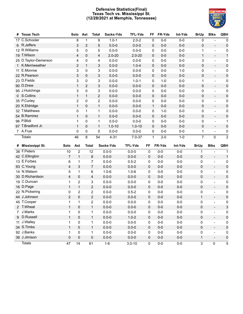# **Defensive Statistics(Final) Texas Tech vs. Mississippi St. (12/28/2021 at Memphis, Tennessee)**



| #              | <b>Texas Tech</b>    |                | Solo                    | Ast          | <b>Total</b>   | Sacks-Yds  | <b>TFL-Yds</b> | <b>FF</b>    | FR-Yds  | Int-Yds | <b>BrUp</b>    | <b>Blks</b>              | QBH            |
|----------------|----------------------|----------------|-------------------------|--------------|----------------|------------|----------------|--------------|---------|---------|----------------|--------------------------|----------------|
|                | 17 C.Schooler        |                | 8                       | 1            | 9              | $1.0 - 1$  | $2.0 - 2$      | 0            | $0-0$   | $0-0$   | 0              |                          | 0              |
|                | 6 R.Jeffers          |                | 3                       | 2            | 5              | $0.0 - 0$  | $0.0 - 0$      | 0            | $0-0$   | $0-0$   | 0              | $\overline{\phantom{0}}$ | $\pmb{0}$      |
|                | 12 R.Williams        |                | 5                       | 0            | 5              | $0.0 - 0$  | $0.0 - 0$      | 0            | $0-0$   | $0-0$   | 1              | $\overline{\phantom{0}}$ | 0              |
|                | 19 T.Wilson          |                | 4                       | 0            | 4              | $2.0 - 20$ | $2.0 - 20$     | 0            | $0-0$   | $0-0$   | $\mathbf{1}$   | $\qquad \qquad -$        | $\mathbf{1}$   |
|                | 25 D.Taylor-Demerson |                | 4                       | 0            | 4              | $0.0 - 0$  | $0.0 - 0$      | 0            | $0-0$   | $0-0$   | 3              | $\overline{\phantom{0}}$ | 0              |
|                | 1 K.Merriweather     |                | 2                       | $\mathbf{1}$ | 3              | $0.0 - 0$  | $1.0 - 4$      | 0            | $0-0$   | $0-0$   | 0              | $\overline{\phantom{a}}$ | $\pmb{0}$      |
|                | 11 E.Monroe          |                | 3                       | 0            | 3              | $0.0 - 0$  | $0.0 - 0$      | 0            | $0-0$   | $1 - 0$ | 0              | $\overline{\phantom{a}}$ | 0              |
|                | 22 R.Pearson         |                | 3                       | 0            | 3              | $0.0 - 0$  | $0.0 - 0$      | 0            | $0-0$   | $0 - 0$ | 0              | $\overline{\phantom{0}}$ | $\pmb{0}$      |
|                | 23 D.Fields          |                | 3                       | 0            | 3              | $0.0 - 0$  | $1.0 - 1$      | 0            | $1 - 0$ | $0-0$   | 1              | $\overline{\phantom{0}}$ | $\pmb{0}$      |
|                | 90 D.Drew            |                | $\mathbf{1}$            | 2            | 3              | $0.0 - 0$  | $0.0 - 0$      | 0            | $0-0$   | $0-0$   | 0              | $\overline{\phantom{a}}$ | $\pmb{0}$      |
|                | 95 J.Hutchings       |                | 3                       | 0            | 3              | $0.0 - 0$  | $0.0 - 0$      | 0            | $0-0$   | $0-0$   | 0              | $\overline{\phantom{0}}$ | 0              |
|                | 0 S.Collins          |                | 1                       | $\mathbf{1}$ | $\overline{c}$ | $0.0 - 0$  | $0.0 - 0$      | 0            | $0-0$   | $0-0$   | $\pmb{0}$      | $\overline{\phantom{a}}$ | $\pmb{0}$      |
|                | 35 P.Curley          |                | $\overline{\mathbf{c}}$ | 0            | $\overline{c}$ | $0.0 - 0$  | $0.0 - 0$      | 0            | $0-0$   | $0-0$   | 0              | $\overline{\phantom{0}}$ | $\pmb{0}$      |
|                | 20 K.Eldridge        |                | $\mathbf{1}$            | 0            | $\mathbf{1}$   | $0.0 - 0$  | $0.0 - 0$      | 1            | $0-0$   | $0-0$   | 0              | ÷,                       | $\pmb{0}$      |
|                | 32 T.Matthews        |                | 0                       | $\mathbf{1}$ | 1              | $0.0 - 0$  | $0.0 - 0$      | 0            | $1 - 0$ | $0-0$   | 0              | $\overline{\phantom{a}}$ | $\pmb{0}$      |
|                | 54 B.Ramirez         |                | 1                       | 0            | $\mathbf{1}$   | $0.0 - 0$  | $0.0 - 0$      | 0            | $0-0$   | $0 - 0$ | 0              | $\overline{\phantom{0}}$ | $\pmb{0}$      |
|                | 96 P.Blidi           |                | 1                       | $\Omega$     | $\mathbf{1}$   | $0.0 - 0$  | $0.0 - 0$      | 0            | $0-0$   | $0-0$   | 0              | $\overline{\phantom{0}}$ | 1              |
|                | 97 T.Bradford Jr.    |                | $\mathbf{1}$            | 0            | $\mathbf{1}$   | $1.0 - 10$ | $1.0 - 10$     | 0            | $0-0$   | $0 - 0$ | 0              | $\overline{\phantom{a}}$ | $\pmb{0}$      |
|                | 7 A.Frye             |                | 0                       | 0            | 0              | $0.0 - 0$  | $0.0 - 0$      | 0            | $0-0$   | $0-0$   | 1              | $\overline{\phantom{a}}$ | 0              |
|                | <b>Totals</b>        |                | 46                      | 8            | 54             | $4 - 31$   | $7.0 - 37$     | $\mathbf{1}$ | $2 - 0$ | $1 - 0$ | $\overline{7}$ | $\pmb{0}$                | $\overline{2}$ |
|                |                      |                |                         |              |                |            |                |              |         |         |                |                          |                |
|                | # Mississippi St.    | Solo           | Ast                     | <b>Total</b> |                | Sacks-Yds  | <b>TFL-Yds</b> | FF           | FR-Yds  | Int-Yds | <b>BrUp</b>    | <b>Blks</b>              | QBH            |
|                | 38 F.Peters          | 10             | $\overline{2}$          | 12           |                | $0.0 - 0$  | $0.0 - 0$      | $\mathbf 0$  | $0-0$   | $0-0$   | 1              |                          | 1              |
|                | 42 C.Ellington       | $\overline{7}$ |                         |              |                |            |                |              |         |         |                |                          | $\mathbf{1}$   |
|                |                      |                | $\mathbf{1}$            |              | 8              | $0.0 - 0$  | $0.0 - 0$      | 0            | $0-0$   | $0-0$   | 0              | $\overline{a}$           |                |
|                | 13 E.Forbes          | 6              | 1                       |              | $\overline{7}$ | $0.0 - 0$  | $0.5 - 2$      | 0            | $0-0$   | $0-0$   | 0              | $\overline{a}$           | $\pmb{0}$      |
|                | 93 C.Young           | 4              | 3                       |              | $\overline{7}$ | $0.0 - 0$  | $0.0 - 0$      | 0            | $0-0$   | $0-0$   | $\mathbf 0$    | $\qquad \qquad -$        | $\pmb{0}$      |
|                | 14 N.Watson          | 5              | 1                       |              | 6              | $1.0 - 6$  | $1.0 - 6$      | 0            | $0-0$   | $0-0$   | 0              | $\blacksquare$           | 0              |
|                | 30 D.Richardson      | 4              | 0                       |              | 4              | $0.0 - 0$  | $0.0 - 0$      | 0            | $0-0$   | $0-0$   | 0              | $\overline{\phantom{a}}$ | $\pmb{0}$      |
|                | 19 C.Duncan          | 1              | $\overline{2}$          |              | 3              | $0.0 - 0$  | $0.0 - 0$      | 0            | $0-0$   | $0 - 0$ | 0              | $\overline{a}$           | 0              |
|                | 16 D.Page            | $\mathbf{1}$   | $\mathbf{1}$            |              | $\overline{c}$ | $0.0 - 0$  | $0.0 - 0$      | 0            | $0-0$   | $0-0$   | 0              | $\overline{\phantom{m}}$ | $\pmb{0}$      |
|                | 22 N.Pickering       | 0              | 2                       |              | 2              | $0.0 - 0$  | $0.5 - 2$      | 0            | $0-0$   | $0-0$   | 0              | $\blacksquare$           | 0              |
|                | 44 J.Johnson         | 2              | 0                       |              | $\overline{c}$ | $0.0 - 0$  | $0.0 - 0$      | 0            | $0-0$   | $0-0$   | $\mathbf{1}$   | $\overline{\phantom{a}}$ | $\pmb{0}$      |
|                | 45 T.Cooper          | 1              | 1                       |              | 2              | $0.0 - 0$  | $0.0 - 0$      | 0            | $0-0$   | $0-0$   | 0              | $\overline{a}$           | 0              |
|                | 2 T.Wheat            | $\mathbf{1}$   | 0                       |              | $\mathbf{1}$   | $0.0 - 0$  | $0.0 - 0$      | 0            | $0-0$   | $0-0$   | 0              | $\overline{a}$           | 3              |
| $\overline{7}$ | J.Marks              | 1              | 0                       |              | 1              | $0.0 - 0$  | $0.0 - 0$      | 0            | $0-0$   | $0-0$   | 0              |                          | 0              |
|                | 9 D.Russell          | $\mathbf{1}$   | 0                       |              | $\mathbf{1}$   | $0.0 - 0$  | $1.0 - 2$      | 0            | $0-0$   | $0-0$   | 0              | $\qquad \qquad -$        | $\pmb{0}$      |
|                | 11 J.Walley          | 1              | 0                       |              | 1              | $0.0 - 0$  | $0.0 - 0$      | 0            | $0-0$   | $0-0$   | 0              | $\frac{1}{2}$            | 0              |
|                | 34 S.Timbs           | $\mathbf{1}$   | 0                       |              | $\mathbf{1}$   | $0.0 - 0$  | $0.0 - 0$      | 0            | $0-0$   | $0-0$   | 0              | $\frac{1}{2}$            | $\pmb{0}$      |
|                | 92 J.Banks           | 1              | 0                       |              | 1              | $0.0 - 0$  | $0.0 - 0$      | 0            | $0-0$   | $0-0$   | 0              | $\blacksquare$           | 0              |
|                | 36 J.Jimison         | 0              | $\pmb{0}$               |              | 0              | $0.0 - 0$  | $0.0 - 0$      | 0            | $0-0$   | $0-0$   | 1              | $\overline{\phantom{a}}$ | $\pmb{0}$      |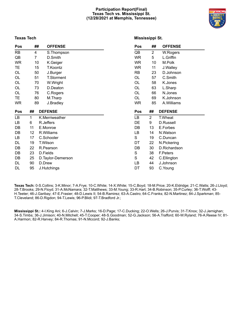#### **Participation Report(Final) Texas Tech vs. Mississippi St. (12/28/2021 at Memphis, Tennessee)**



# **Texas Tech**

| Pos       | ## |        | <b>OFFENSE</b>     | Pos       | ##             | <b>OFFENSE</b> |
|-----------|----|--------|--------------------|-----------|----------------|----------------|
| <b>RB</b> | 4  |        | S.Thompson         | QB        | $\overline{2}$ | W.Rogers       |
| QB        | 7  |        | D.Smith            | <b>WR</b> | 5              | L.Griffin      |
| <b>WR</b> | 10 |        | K.Geiger           | <b>WR</b> | 10             | M.Polk         |
| TЕ        | 15 |        | T.Koontz           | <b>WR</b> | 11             | J.Walley       |
| OL        | 50 |        | J.Burger           | <b>RB</b> | 23             | D.Johnson      |
| OL        | 51 |        | <b>T.Storment</b>  | OL        | 57             | C.Smith        |
| OL        | 70 |        | W.Wright           | OL        | 58             | K.Jones        |
| OL        | 73 |        | D.Deaton           | OL        | 63             | L.Sharp        |
| OL        | 76 |        | C.Rogers           | OL        | 66             | N.Jones        |
| TE.       | 80 |        | M.Tharp            | OL        | 69             | K.Johnson      |
| <b>WR</b> | 89 |        | J.Bradley          | <b>WR</b> | 85             | A. Williams    |
|           |    |        |                    |           |                |                |
| Pos       | ## |        | <b>DEFENSE</b>     | Pos       | ##             | <b>DEFENSE</b> |
| LВ        | 1  |        | K.Merriweather     | LB        | $\overline{2}$ | T.Wheat        |
| LB        | 6  |        | R.Jeffers          | DE        | 9              | D.Russell      |
| DB        | 11 |        | E.Monroe           | DB        | 13             | E.Forbes       |
| DB        | 12 |        | R.Williams         | LB        | 14             | N.Watson       |
| LВ        | 17 |        | C.Schooler         | S         | 19             | C.Duncan       |
| DL        | 19 |        | T.Wilson           | DT        | 22             | N.Pickering    |
| DB        | 22 |        | R.Pearson          | DB        | 30             | D.Richardson   |
| DB        | 23 |        | D.Fields           | S         | 38             | F.Peters       |
| DB        | 25 |        | D. Taylor-Demerson | S         | 42             | C.Ellington    |
| DL        | 90 | D.Drew |                    | LB        | 44             | J.Johnson      |

**Texas Tech:** 0-S.Collins; 3-K.Minor; 7-A.Frye; 10-C.White; 14-X.White; 15-C.Boyd; 18-M.Price; 20-K.Eldridge; 21-C.Watts; 26-J.Lloyd; 28-T.Brooks; 29-N.Floyd; 31-A.McNamara; 32-T.Matthews; 33-M.Young; 33-R.Hart; 34-B.Robinson; 35-P.Curley; 36-T.Wolff; 43- H.Teeter; 46-J.Garibay; 47-E.Frasier; 48-D.Lewis II; 54-B.Ramirez; 63-A.Castro; 64-C.Franks; 82-N.Martinez; 84-J.Sparkman; 85- T.Cleveland; 86-D.Rigdon; 94-T.Lewis; 96-P.Blidi; 97-T.Bradford Jr.;

**Mississippi St.:** 4-I.King Ani; 6-J.Calvin; 7-J.Marks; 16-D.Page; 17-C.Ducking; 22-O.Wells; 26-J.Purvis; 31-T.Knox; 32-J.Jernighan; 34-S.Timbs; 36-J.Jimison; 40-N.Mitchell; 45-T.Cooper; 48-S.Goodman; 52-G.Jackson; 56-A.Trafford; 60-W.Ryland; 76-A.Reese IV; 81- A.Harmon; 82-R.Harvey; 84-R.Thomas; 91-N.Mccord; 92-J.Banks;

# **Mississippi St.**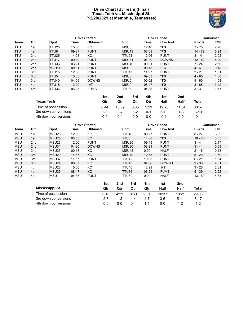# **Drive Chart (By Team)(Final) Texas Tech vs. Mississippi St. (12/28/2021 at Memphis, Tennessee)**



|            |                 |                   |       | <b>Drive Started</b>         |                   |            | <b>Drive Ended</b>           | Consumed      |            |  |
|------------|-----------------|-------------------|-------|------------------------------|-------------------|------------|------------------------------|---------------|------------|--|
| Team       | Qtr             | Spot              | Time  | <b>Obtained</b>              | Spot              | Time       | <b>How lost</b>              | <b>PI-Yds</b> | <b>TOP</b> |  |
| TTU        | 1st             | TTU25             | 15:00 | KO                           | MSU0              | 12:40      | *TD                          | $7 - 75$      | 2:20       |  |
| <b>TTU</b> | 1st             | TTU8              | 09:27 | <b>PUNT</b>                  | MSU <sub>13</sub> | 03:03      | *FG                          | $14 - 79$     | 6:24       |  |
| TTU        | 2nd             | TTU25             | 14:08 | KO                           | TTU <sub>21</sub> | 12:06      | <b>PUNT</b>                  | $3 - -4$      | 2:02       |  |
| <b>TTU</b> | 2 <sub>nd</sub> | TTU <sub>17</sub> | 09:49 | <b>PUNT</b>                  | MSU31             | 04:20      | <b>DOWNS</b>                 | $12 - 52$     | 5:29       |  |
| <b>TTU</b> | 2nd             | TTU36             | 03:21 | <b>PUNT</b>                  | MSU <sub>40</sub> | 00:31      | <b>PUNT</b>                  | $7 - 24$      | 2:50       |  |
| <b>TTU</b> | 2 <sub>nd</sub> | MSU <sub>14</sub> | 00:31 | <b>PUNT</b>                  | MSU <sub>8</sub>  | 00:13      | *FG                          | $4 - 6$       | 0:18       |  |
| <b>TTU</b> | 3rd             | TTU15             | 12:58 | <b>PUNT</b>                  | TTU <sub>17</sub> | 11:57      | <b>PUNT</b>                  | $3 - 2$       | 1:01       |  |
| <b>TTU</b> | 3rd             | TTU <sub>5</sub>  | 10:03 | <b>PUNT</b>                  | MSU <sub>0</sub>  | 09:03      | *TD                          | $4 - 95$      | 1:00       |  |
| <b>TTU</b> | 3rd             | <b>TTU40</b>      | 04:06 | <b>DOWNS</b>                 | MSU <sub>0</sub>  | 00:02      | *TD                          | $9 - 60$      | 4:04       |  |
| <b>TTU</b> | 4th             | TTU <sub>15</sub> | 12:29 | <b>INT</b>                   | <b>MSU0</b>       | 08:47      | $*TD$                        | $8 - 85$      | 3:42       |  |
| TTU        | 4th             | TTU36             | 06:25 | <b>FUMB</b><br>$\sim$ $\sim$ | ITTU39            | 04:38<br>. | <b>PUNT</b><br>$\sim$ $\sim$ | $3 - 3$       | 1:47       |  |

|                      | 1st     | 2nd     | 3rd     | 4th     | 1st    | 2nd     |          |
|----------------------|---------|---------|---------|---------|--------|---------|----------|
| <b>Texas Tech</b>    | Otr     | Otr     | Qtr     | Qtr     | Half   | Half    | Total    |
| Time of possession   | 8:44    | 10:39   | 6:05    | 5:29    | 19:23  | 11:34   | 30:57    |
| 3rd down conversions | $2 - 3$ | $3 - 7$ | $1 - 2$ | $0 - 1$ | $5-10$ | $1 - 3$ | $6 - 13$ |
| 4th down conversions | ი-ი     | በ-1     | ი-ი     | 0-0     | 0-1    | ი-ი     | $0 - 1$  |

|                      |     |                      |       | <b>Drive Started</b> |         | <b>Drive Ended</b> |              |         |                 |          | <b>Consumed</b> |      |  |
|----------------------|-----|----------------------|-------|----------------------|---------|--------------------|--------------|---------|-----------------|----------|-----------------|------|--|
| Team                 | Qtr | Spot                 | Time  | <b>Obtained</b>      |         |                    | Spot         | Time    | <b>How lost</b> |          | <b>PI-Yds</b>   | TOP  |  |
| <b>MSU</b>           | 1st | MSU <sub>25</sub>    | 12:36 | KO                   |         |                    | TTU48        | 09:27   | <b>PUNT</b>     |          | $8 - 27$        | 3:09 |  |
| <b>MSU</b>           | 1st | MSU <sub>25</sub>    | 03:03 | KO                   |         |                    | TTU0         | 14:08   | *TD             |          | $10 - 75$       | 3:55 |  |
| <b>MSU</b>           | 2nd | MSU <sub>26</sub>    | 12:06 | <b>PUNT</b>          |         |                    | MSU30        | 09:49   | <b>PUNT</b>     |          | $3 - 4$         | 2:17 |  |
| <b>MSU</b>           | 2nd | MSU31                | 04:20 | <b>DOWNS</b>         |         |                    | MSU30        | 03:21   | <b>PUNT</b>     |          | $3 - -1$        | 0:59 |  |
| <b>MSU</b>           | 2nd | MSU <sub>25</sub>    | 00:13 | KO                   |         |                    | MSU43        | 0:00    | <b>HALF</b>     |          | $2 - 18$        | 0:13 |  |
| <b>MSU</b>           | 3rd | MSU <sub>20</sub>    | 14:57 | KO                   |         |                    | MSU40        | 12:58   | <b>PUNT</b>     |          | $5 - 20$        | 1:59 |  |
| <b>MSU</b>           | 3rd | MSU37                | 11:57 | <b>PUNT</b>          |         |                    | <b>TTU42</b> | 10:03   | <b>PUNT</b>     |          | $6 - 21$        | 1:54 |  |
| <b>MSU</b>           | 3rd | MSU <sub>24</sub>    | 08:57 | KO                   |         |                    | <b>TTU40</b> | 04:06   | <b>DOWNS</b>    |          | $9 - 36$        | 4:51 |  |
| <b>MSU</b>           | 4th | MSU <sub>28</sub>    | 15:00 | KO                   |         |                    | TTU46        | 12:29   | INT             |          | $9 - 26$        | 2:31 |  |
| <b>MSU</b>           | 4th | MSU <sub>25</sub>    | 08:47 | KO                   |         |                    | TTU36        | 06:25   | <b>FUMB</b>     |          | $5 - 39$        | 2:22 |  |
| <b>MSU</b>           | 4th | MSU1                 | 04:38 | <b>PUNT</b>          |         |                    | TTU30        | 0:00    | <b>HALF</b>     |          | $13 - 69$       | 4:38 |  |
|                      |     |                      |       |                      | 1st     | 2nd                | 3rd          | 4th     | 1st             | 2nd      |                 |      |  |
| Mississippi St.      |     |                      |       |                      | Qtr     | Qtr                | Qtr          | Qtr     | Half            | Half     | <b>Total</b>    |      |  |
| Time of possession   |     |                      |       |                      | 6:16    | 4:21               | 8:50         | 9:31    | 10:37           | 18:21    | 29:03           |      |  |
| 3rd down conversions |     |                      |       |                      | $2 - 3$ | $1 - 3$            | $1 - 4$      | $4 - 7$ | $3-6$           | $5 - 11$ | $8 - 17$        |      |  |
|                      |     | 4th down conversions |       |                      | $0-0$   | $0-0$              | $0 - 1$      | $1 - 1$ | $0-0$           | $1 - 2$  | $1 - 2$         |      |  |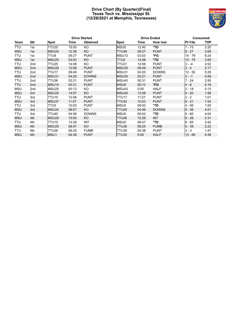# **Drive Chart (By Quarter)(Final) Texas Tech vs. Mississippi St. (12/28/2021 at Memphis, Tennessee)**



|            |                 | <b>Drive Started</b> |       |                 |                   | <b>Drive Ended</b> | <b>Consumed</b> |               |            |
|------------|-----------------|----------------------|-------|-----------------|-------------------|--------------------|-----------------|---------------|------------|
| Team       | Qtr             | <b>Spot</b>          | Time  | <b>Obtained</b> | Spot              | Time               | <b>How lost</b> | <b>PI-Yds</b> | <b>TOP</b> |
| <b>TTU</b> | 1st             | <b>TTU25</b>         | 15:00 | KO.             | MSU0              | 12:40              | *TD             | $7 - 75$      | 2:20       |
| <b>MSU</b> | 1st             | MSU25                | 12:36 | KO              | TTU48             | 09:27              | <b>PUNT</b>     | $8 - 27$      | 3:09       |
| TTU        | 1st             | TTU8                 | 09:27 | <b>PUNT</b>     | MSU <sub>13</sub> | 03:03              | *FG             | $14 - 79$     | 6:24       |
| <b>MSU</b> | 1st             | MSU <sub>25</sub>    | 03:03 | KO              | TTU0              | 14:08              | *TD             | $10 - 75$     | 3:55       |
| TTU        | 2nd             | TTU25                | 14:08 | KO              | <b>TTU21</b>      | 12:06              | <b>PUNT</b>     | $3 - -4$      | 2:02       |
| <b>MSU</b> | 2 <sub>nd</sub> | MSU <sub>26</sub>    | 12:06 | <b>PUNT</b>     | MSU30             | 09:49              | <b>PUNT</b>     | $3 - 4$       | 2:17       |
| TTU        | 2nd             | TTU17                | 09:49 | <b>PUNT</b>     | MSU31             | 04:20              | <b>DOWNS</b>    | $12 - 52$     | 5:29       |
| <b>MSU</b> | 2nd             | MSU31                | 04:20 | <b>DOWNS</b>    | MSU30             | 03:21              | <b>PUNT</b>     | $3 - -1$      | 0:59       |
| TTU        | 2nd             | TTU36                | 03:21 | <b>PUNT</b>     | MSU <sub>40</sub> | 00:31              | <b>PUNT</b>     | $7 - 24$      | 2:50       |
| <b>TTU</b> | 2nd             | MSU <sub>14</sub>    | 00:31 | <b>PUNT</b>     | MSU8              | 00:13              | *FG             | $4 - 6$       | 0:18       |
| <b>MSU</b> | 2nd             | MSU <sub>25</sub>    | 00:13 | KO              | MSU43             | 0:00               | <b>HALF</b>     | $2 - 18$      | 0:13       |
| <b>MSU</b> | 3rd             | MSU <sub>20</sub>    | 14:57 | KO              | MSU <sub>40</sub> | 12:58              | <b>PUNT</b>     | $5 - 20$      | 1:59       |
| TTU        | 3rd             | TTU <sub>15</sub>    | 12:58 | <b>PUNT</b>     | TTU17             | 11:57              | <b>PUNT</b>     | $3 - 2$       | 1:01       |
| <b>MSU</b> | 3rd             | MSU37                | 11:57 | <b>PUNT</b>     | TTU42             | 10:03              | <b>PUNT</b>     | $6 - 21$      | 1:54       |
| TTU        | 3rd             | TTU5                 | 10:03 | <b>PUNT</b>     | MSU0              | 09:03              | *TD             | 4 - 95        | 1:00       |
| <b>MSU</b> | 3rd             | MSU <sub>24</sub>    | 08:57 | KO              | <b>TTU40</b>      | 04:06              | <b>DOWNS</b>    | $9 - 36$      | 4:51       |
| TTU        | 3rd             | TTU40                | 04:06 | <b>DOWNS</b>    | MSU0              | 00:02              | *TD             | $9 - 60$      | 4:04       |
| <b>MSU</b> | 4th             | MSU <sub>28</sub>    | 15:00 | KO              | TTU46             | 12:29              | <b>INT</b>      | $9 - 26$      | 2:31       |
| TTU        | 4th             | TTU <sub>15</sub>    | 12:29 | <b>INT</b>      | MSU0              | 08:47              | *TD             | $8 - 85$      | 3:42       |
| <b>MSU</b> | 4th             | MSU <sub>25</sub>    | 08:47 | KO              | TTU36             | 06:25              | <b>FUMB</b>     | $5 - 39$      | 2:22       |
| TTU        | 4th             | TTU36                | 06:25 | <b>FUMB</b>     | TTU39             | 04:38              | <b>PUNT</b>     | $3 - 3$       | 1:47       |
| MSU        | 4th             | MSU1                 | 04:38 | <b>PUNT</b>     | TTU <sub>30</sub> | 0:00               | <b>HALF</b>     | $13 - 69$     | 4:38       |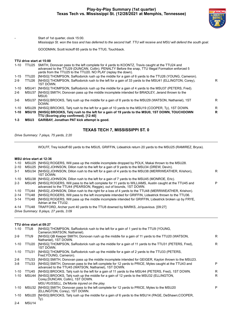

Start of 1st quarter, clock 15:00.

*Mississippi St. won the toss and has deferred to the second half. TTU will receive and MSU will defend the south goal.*

GOODMAN, Scott kickoff 65 yards to the TTU0, Touchback.

#### **TTU drive start at 15:00**

| 1-10     | TTU25 | SMITH, Donovan pass to the left complete for 4 yards to KOONTZ, Travis caught at the TTU24 and          |   |
|----------|-------|---------------------------------------------------------------------------------------------------------|---|
|          |       | advanced to the TTU29 (DUNCAN, Collin). PENALTY Before the snap, TTU Illegal Formation enforced 5       |   |
|          |       | yards from the TTU25 to the TTU20. NO PLAY (replay the down).                                           |   |
| 1-15     | TTU20 | [NHSG] THOMPSON, SaRodorick rush up the middle for a gain of 6 yards to the TTU26 (YOUNG, Cameron).     |   |
| $2-9$    | TTU26 | [NHSG] THOMPSON, SaRodorick rush to the left for a gain of 33 yards to the MSU41 (ELLINGTON, Corey),    | R |
|          |       | 1ST DOWN.                                                                                               |   |
| 1-10     |       | MSU41 [NHSG] THOMPSON, SaRodorick rush up the middle for a gain of 4 yards to the MSU37 (PETERS, Fred). |   |
| 2-6      | MSU37 | [NHSG] SMITH, Donovan pass up the middle incomplete intended for BRADLEY, Jerand thrown to the          |   |
|          |       | MSU0.                                                                                                   |   |
| 3-6      | MSU37 | [NHSG] BROOKS, Tahj rush up the middle for a gain of 8 yards to the MSU29 (WATSON, Nathaniel), 1ST      | R |
|          |       | DOWN.                                                                                                   |   |
| 1-10     |       | MSU29 [NHSG] BROOKS, Tahj rush to the left for a gain of 10 yards to the MSU19 (COOPER, Ty), 1ST DOWN.  | R |
| $1 - 10$ |       | MSU19 [NHSG] BROOKS, Tahj rush to the left for a gain of 19 yards to the MSU0, 1ST DOWN, TOUCHDOWN      | R |
|          |       | TTU (Scoring play confirmed). [12:40]                                                                   |   |
|          |       | <b>MAUA AARIBAY L. U. BATILL U. L. L. L.</b>                                                            |   |

**1-3 MSU3 GARIBAY, Jonathan PAT kick attempt is good.**

# **TEXAS TECH 7, MISSISSIPPI ST. 0**

*Drive Summary: 7 plays, 75 yards, 2:20*

WOLFF, Trey kickoff 60 yards to the MSU5, GRIFFIN, Lideatrick return 20 yards to the MSU25 (RAMIREZ, Bryce).

#### **MSU drive start at 12:36**

| $1 - 10$<br>$2 - 10$ |       | MSU25 [NHSG] ROGERS, Will pass up the middle incomplete dropped by POLK, Makai thrown to the MSU28.<br>MSU25 [NHSG] JOHNSON, Dillon rush to the left for a gain of 9 yards to the MSU34 (DREW, Devin). |   |
|----------------------|-------|--------------------------------------------------------------------------------------------------------------------------------------------------------------------------------------------------------|---|
| 3-1                  |       | MSU34 [NHSG] JOHNSON, Dillon rush to the left for a gain of 4 yards to the MSU38 (MERRIWEATHER, Krishon),<br>1ST DOWN.                                                                                 | R |
| 1-10                 |       | MSU38 [NHSG] JOHNSON, Dillon rush to the left for a gain of 7 yards to the MSU45 (MONROE, Eric).                                                                                                       |   |
| $2 - 3$              |       | MSU45 [NHSG] ROGERS, Will pass to the left complete for 11 yards to WILLIAMS, Austin caught at the TTU45 and<br>advanced to the TTU44 (PEARSON, Reggie), out of bounds, 1ST DOWN.                      | P |
| 1-10                 |       | TTU44 [NHSG] JOHNSON, Dillon rush to the right for a loss of 4 yards to the TTU48 (MERRIWEATHER, Krishon).                                                                                             |   |
| $2 - 14$             | TTU48 | [NHSG] ROGERS, Will pass to the left incomplete intended for GRIFFIN, Lideatrick thrown to the TTU36.                                                                                                  |   |
| $3 - 14$             | TTU48 | [NHSG] ROGERS, Will pass up the middle incomplete intended for GRIFFIN, Lideatrick broken up by FRYE,<br>Adrian at the TTU32.                                                                          |   |
| 4-14                 |       | TTU48 TRAFFORD, Archer punt 40 yards to the TTU8 downed by MARKS, Jo'quavious. [09:27]                                                                                                                 |   |
|                      |       | Drive Summary: 8 plays, 27 yards, 3:09                                                                                                                                                                 |   |

#### **TTU drive start at 09:27**

| 1-10     | TTU8              | [NHSG] THOMPSON, SaRodorick rush to the left for a gain of 1 yard to the TTU9 (YOUNG,<br>Cameron; WATSON, Nathaniel).                                        |    |
|----------|-------------------|--------------------------------------------------------------------------------------------------------------------------------------------------------------|----|
| $2-9$    | TTU9              | [NHSG] QB Keeper SMITH, Donovan rush up the middle for a gain of 11 yards to the TTU20 (WATSON,<br>Nathaniel), 1ST DOWN.                                     | R. |
| $1 - 10$ | TTU <sub>20</sub> | [NHSG] THOMPSON, SaRodorick rush up the middle for a gain of 11 yards to the TTU31 (PETERS, Fred),<br>1ST DOWN.                                              | R  |
| $1 - 10$ | TTU31             | [NHSG] THOMPSON, SaRodorick rush up the middle for a gain of 2 yards to the TTU33 (PETERS,<br>Fred:YOUNG, Cameron).                                          |    |
| 2-8      | TTU33             | [NHSG] SMITH, Donovan pass up the middle incomplete intended for GEIGER, Kaylon thrown to the MSU23.                                                         |    |
| $3 - 8$  | TTU33             | [NHSG] SMITH, Donovan pass to the left complete for 12 yards to PRICE, Myles caught at the TTU43 and<br>advanced to the TTU45 (WATSON, Nathaniel), 1ST DOWN. | P  |
| 1-10     | TTU45             | [NHSG] BROOKS, Tahj rush to the left for a gain of 11 yards to the MSU44 (PETERS, Fred), 1ST DOWN.                                                           | R. |
| $1 - 10$ | MSU44             | [NHSG] BROOKS, Tahj rush up the middle for a gain of 12 yards to the MSU32 (ELLINGTON,<br>Corey; DUNCAN, Collin), 1ST DOWN.                                  | R. |
|          |                   | MSU RUSSELL, De'Monte injured on the play.                                                                                                                   |    |
| $1 - 10$ |                   | MSU32 [NHSG] SMITH, Donovan pass to the left complete for 12 yards to PRICE, Myles to the MSU20<br>(ELLINGTON, Corey), 1ST DOWN.                             | P  |
| 1-10     | MSU20             | [NHSG] BROOKS, Tahj rush up the middle for a gain of 6 yards to the MSU14 (PAGE, DeShawn;COOPER,<br>Ty).                                                     |    |
| $2 - 4$  | MSU <sub>14</sub> |                                                                                                                                                              |    |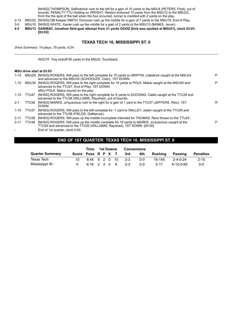[NHSG] THOMPSON, SaRodorick rush to the left for a gain of 10 yards to the MSU4 (PETERS, Fred), out of bounds. PENALTY TTU Holding on WRIGHT, Weston enforced 10 yards from the MSU12 to the MSU22, from the the spot of the ball when the foul occurred, runner is credited with 2 yards on the play.

2-12 MSU22 [NHSG] QB Keeper SMITH, Donovan rush up the middle for a gain of 7 yards to the MSU15, End of Play.

- 3-5 MSU15 [NHSG] WHITE, Xavier rush up the middle for a gain of 2 yards to the MSU13 (BANKS, Jevon).
- **4-3 MSU13 GARIBAY, Jonathan field goal attempt from 31 yards GOOD [kick was spotted at MSU21], clock 03:03. [03:03]**

# **TEXAS TECH 10, MISSISSIPPI ST. 0**

*Drive Summary: 14 plays, 79 yards, 6:24*

WOLFF, Trey kickoff 65 yards to the MSU0, Touchback.

#### **MSU drive start at 03:03**

| $1 - 10$ |       | MSU25 [NHSG] ROGERS, Will pass to the left complete for 10 yards to GRIFFIN, Lideatrick caught at the MSU24<br>and advanced to the MSU35 (SCHOOLER, Colin), 1ST DOWN.      | P |
|----------|-------|----------------------------------------------------------------------------------------------------------------------------------------------------------------------------|---|
| 1-10     |       | MSU35 [NHSG] ROGERS, Will pass to the right complete for 18 yards to POLK, Makai caught at the MSU49 and<br>advanced to the TTU47, End of Play, 1ST DOWN.                  | P |
|          |       | MSU POLK, Makai injured on the play.                                                                                                                                       |   |
| $1 - 10$ | TTU47 | [NHSG] ROGERS, Will pass to the right complete for 9 yards to DUCKING, Caleb caught at the TTU39 and<br>advanced to the TTU38 (WILLIAMS, Rayshad), out of bounds.          |   |
| $2 - 1$  | TTU38 | [NHSG] MARKS, Jo'quavious rush to the right for a gain of 1 yard to the TTU37 (JEFFERS, Riko), 1ST<br>DOWN.                                                                | R |
| 1-10     | TTU37 | [NHSG] ROGERS, Will pass to the left complete for -1 yard to WALLEY, Jaden caught at the TTU39 and<br>advanced to the TTU38 (FIELDS, DaMarcus).                            |   |
| $2 - 11$ | TTU38 | [NHSG] ROGERS, Will pass up the middle incomplete intended for THOMAS, Rara thrown to the TTU24.                                                                           |   |
| $3 - 11$ | TTU38 | [NHSG] ROGERS, Will pass up the middle complete for 18 yards to MARKS, Jo'quavious caught at the<br>TTU29 and advanced to the TTU20 (WILLIAMS, Rayshad), 1ST DOWN. [00:00] | P |
|          |       | End of 1st quarter, clock $0.00$                                                                                                                                           |   |

End of 1st quarter, clock 0:00.

# **END OF 1ST QUARTER: TEXAS TECH 10, MISSISSIPPI ST. 0**

|                        |                    | Time          |  | 1st Downs | Conversions |            |         |                   |                  |
|------------------------|--------------------|---------------|--|-----------|-------------|------------|---------|-------------------|------------------|
| <b>Quarter Summary</b> | Score Poss R P X T |               |  |           | 3rd         | 4th        | Rushina | Passing           | <b>Penalties</b> |
| Texas Tech             |                    | 8:44 8 2 0 10 |  |           | $-2-3$      | <u>ດ-ດ</u> | 16-145  | $2 - 4 - 0 - 24$  | $2 - 15$         |
| Mississippi St.        |                    | 6:16 2 4 0 6  |  |           | $-2-3$      | 0-0        | $5-17$  | $6 - 10 - 0 - 65$ | $0 - 0$          |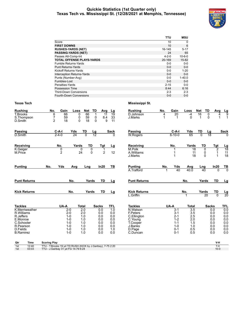#### **Quickie Statistics (1st Quarter only) Texas Tech vs. Mississippi St. (12/28/2021 at Memphis, Tennessee)**



|                                   | TTU         | <b>MSU</b>   |
|-----------------------------------|-------------|--------------|
| Score                             | 10          | $\Omega$     |
| <b>FIRST DOWNS</b>                | 10          | 6            |
| <b>RUSHES-YARDS (NET)</b>         | 16-145      | $5 - 17$     |
| <b>PASSING-YARDS (NET)</b>        | 24          | 65           |
| Passes Att-Comp-Int               | $4 - 2 - 0$ | $10 - 6 - 0$ |
| <b>TOTAL OFFENSE PLAYS-YARDS</b>  | 20-169      | 15-82        |
| Fumble Returns-Yards              | $0 - 0$     | $0 - 0$      |
| <b>Punt Returns-Yards</b>         | $0 - 0$     | $0 - 0$      |
| Kickoff Returns-Yards             | $0 - 0$     | $1 - 20$     |
| <b>Interception Returns-Yards</b> | $0 - 0$     | $0 - 0$      |
| Punts (Number-Avg)                | $0 - 0$     | $1 - 40.0$   |
| Fumbles-Lost                      | $0 - 0$     | $0-0$        |
| Penalties-Yards                   | $2 - 15$    | $0 - 0$      |
| Possession Time                   | 8:44        | 6:16         |
| <b>Third-Down Conversions</b>     | $2 - 3$     | $2 - 3$      |
| Fourth-Down Conversions           | $0 - 0$     | $0 - 0$      |

| <b>Rushing</b>                            | No.<br>Gain                                                                                        | TD<br>Loss<br>Net                              | Avg                                             | Lg                             | <b>Rushing</b>                      | No.    | Gain                          | Loss                        | TD<br><b>Net</b>                 | Avg                                 |                                         |
|-------------------------------------------|----------------------------------------------------------------------------------------------------|------------------------------------------------|-------------------------------------------------|--------------------------------|-------------------------------------|--------|-------------------------------|-----------------------------|----------------------------------|-------------------------------------|-----------------------------------------|
| T.Brooks<br>S.Thompson<br>D.Smith         | 6<br>66<br>$\overline{7}$<br>59<br>$\overline{2}$<br>18                                            | 66<br>$\mathbf 0$<br>59<br>0<br>18<br>$\Omega$ | $\mathbf{1}$<br>11<br>0<br>8.4<br>$\Omega$<br>9 | $\overline{19}$<br>33<br>11    | D.Johnson<br>J.Marks                | 4<br>1 | 20<br>1                       | $-4$<br>$\Omega$            | 16<br>1                          | $\mathbf 0$<br>4<br>$\Omega$<br>1   | $\frac{Lg}{9}$<br>$\mathbf{1}$          |
| Passing                                   | C-A-I                                                                                              | Yds<br>TD<br><u>Lg</u>                         |                                                 | <b>Sack</b>                    | <b>Passing</b>                      |        | $C-A-I$                       | Yds                         | TD                               | <u>Lg</u>                           | <b>Sack</b>                             |
| D.Smith                                   | $2 - 4 - 0$                                                                                        | $\overline{12}$<br>24<br>$\overline{0}$        |                                                 | 0                              | <b>W.Rogers</b>                     |        | $6 - 10 - 0$                  | 65                          | $\overline{0}$                   | 18                                  | 0                                       |
| Receiving                                 | No.                                                                                                | TD<br>Yards                                    | Tgt                                             | Lg                             | Receiving                           |        | No.                           | Yards                       | TD                               | Tgt                                 | $\frac{Lg}{18}$                         |
| K.Geiger<br>M.Price                       | 0<br>$\overline{2}$                                                                                | $\overline{0}$<br>$\Omega$<br>24<br>0          | $\overline{2}$                                  | 12                             | M.Polk<br>A.Williams<br>J.Marks     |        | 1                             | $\overline{18}$<br>11<br>18 | $\mathbf 0$<br>0<br>$\mathbf{0}$ | $\overline{2}$<br>1<br>$\mathbf{1}$ | $\begin{array}{c} 11 \\ 18 \end{array}$ |
| <b>Punting</b>                            | Yds<br>No.                                                                                         | Avg<br>Lng                                     | In20                                            | TB                             | <b>Punting</b><br>A.Trafford        | No.    | Yds<br>40                     | Avg<br>40.0                 | Lng<br>40                        | In20<br>U                           | $rac{TB}{0}$                            |
|                                           |                                                                                                    |                                                |                                                 |                                |                                     |        |                               |                             |                                  |                                     |                                         |
| <b>Punt Returns</b>                       | No.                                                                                                | Yards                                          | <b>TD</b>                                       | Lg                             | <b>Punt Returns</b>                 |        |                               | No.                         | Yards                            | <b>TD</b>                           | <u>Lg</u>                               |
| <b>Kick Returns</b>                       | No.                                                                                                | Yards                                          | TD                                              | Lg                             | <b>Kick Returns</b><br>L.Griffin    |        |                               | No.<br>1                    | Yards<br>20                      | TD<br>$\overline{0}$                | $\frac{Lg}{20}$                         |
| <b>Tackles</b>                            | UA-A                                                                                               | <b>Total</b>                                   | <b>Sacks</b>                                    | <b>TFL</b>                     | <b>Tackles</b>                      |        | UA-A                          | <b>Total</b>                |                                  | <b>Sacks</b>                        | <b>TFL</b>                              |
| K.Merriweather<br>R.Williams<br>R.Jeffers | $2-0$<br>$2 - 0$<br>$1 - 0$                                                                        | $\overline{2.0}$<br>2.0<br>1.0                 | 0.0<br>0.0<br>0.0                               | $\overline{1.0}$<br>0.0<br>0.0 | N.Watson<br>F.Peters<br>C.Ellington |        | $3-1$<br>$3 - 1$<br>$2 - 1$   | 3.5<br>3.5<br>2.5           |                                  | 0.0<br>0.0<br>0.0                   | 0.0<br>0.0<br>0.0                       |
| E.Monroe<br>C.Schooler<br>R.Pearson       | $1 - 0$<br>$1 - 0$<br>$1 - 0$                                                                      | 1.0<br>1.0<br>1.0                              | 0.0<br>0.0<br>0.0                               | 0.0<br>0.0<br>0.0              | C.Young<br>T.Cooper<br>J.Banks      |        | $1 - 2$<br>$1 - 1$<br>$1 - 0$ | 2.0<br>1.5<br>1.0           |                                  | 0.0<br>0.0<br>0.0                   | 0.0<br>0.0<br>0.0                       |
| D.Fields<br><b>B.Ramirez</b>              | $1 - 0$<br>$1 - 0$                                                                                 | 1.0<br>1.0                                     | 0.0<br>0.0                                      | 1.0<br>0.0                     | D.Page<br>C.Duncan                  |        | $0 - 1$<br>$0 - 1$            | 0.5<br>0.5                  |                                  | 0.0<br>0.0                          | 0.0<br>0.0                              |
| Qtr<br><b>Time</b>                        | <b>Scoring Play</b>                                                                                |                                                |                                                 |                                |                                     |        |                               |                             |                                  | V-H                                 |                                         |
| 1st<br>12:40<br>03:03<br>1st              | TTU - T.Brooks 19 yd TD RUSH (KICK by J.Garibay), 7-75 2:20<br>TTU - J.Garibay 31 yd FG 14-79 6:24 |                                                |                                                 |                                |                                     |        |                               |                             |                                  | $7-0$<br>$10 - 0$                   |                                         |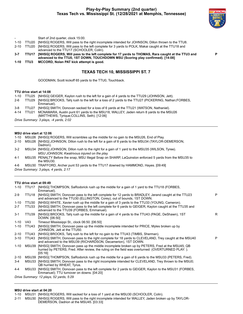

**P**

|        |       | Start of 2nd quarter, clock 15:00.                                                                                                                                                   |
|--------|-------|--------------------------------------------------------------------------------------------------------------------------------------------------------------------------------------|
| 1-10   |       | TTU20 [NHSG] ROGERS, Will pass to the right incomplete intended for JOHNSON, Dillon thrown to the TTU8.                                                                              |
| 2-10   |       | TTU20 [NHSG] ROGERS, Will pass to the left complete for 3 yards to POLK, Makai caught at the TTU18 and<br>advanced to the TTU17 (SCHOOLER, Colin).                                   |
| 3-7    | TTU17 | [NHSG] ROGERS, Will pass to the left complete for 17 yards to THOMAS, Rara caught at the TTU3 and<br>advanced to the TTU0, 1ST DOWN, TOUCHDOWN MSU (Scoring play confirmed). [14:08] |
| $1-10$ | TTU3  | MCCORD, Nolan PAT kick attempt is good.                                                                                                                                              |
|        |       | <b>TEXAS TECH 10, MISSISSIPPI ST. 7</b>                                                                                                                                              |

GOODMAN, Scott kickoff 65 yards to the TTU0, Touchback.

#### **TTU drive start at 14:08**

| 1-10    |       | TTU25 [NHSG] GEIGER, Kaylon rush to the left for a gain of 4 yards to the TTU29 (JOHNSON, Jett).                                                 |
|---------|-------|--------------------------------------------------------------------------------------------------------------------------------------------------|
| $2-6$   |       | TTU29 [NHSG] BROOKS, Tahj rush to the left for a loss of 2 yards to the TTU27 (PICKERING, Nathan; FORBES,<br>Emmanuel).                          |
| $3 - 8$ | TTU27 | [NHSG] SMITH, Donovan sacked for a loss of 6 yards at the TTU21 (WATSON, Nathaniel).                                                             |
|         |       | 4-14 TTU21 MCNAMARA, Austin punt 61 yards to the MSU18, WALLEY, Jaden return 8 vards to the MSU26<br>(MATTHEWS, Tyrique; COLLINS, Seth). [12:06] |
|         |       | Drive Summary: 3 plays, -4 yards, 2:02                                                                                                           |

#### **MSU drive start at 12:06**

|  |  |  |  |  | 1-10 MSU26 [NHSG] ROGERS, Will scrambles up the middle for no gain to the MSU26, End of Play. |
|--|--|--|--|--|-----------------------------------------------------------------------------------------------|
|  |  |  |  |  |                                                                                               |

- 2-10 MSU26 [NHSG] JOHNSON, Dillon rush to the left for a gain of 8 yards to the MSU34 (TAYLOR-DEMERSON, Dadrion).
- 3-2 MSU34 [NHSG] JOHNSON, Dillon rush to the right for a gain of 1 yard to the MSU35 (WILSON, Tyree). *MSU JOHNSON, Kwatrivous injured on the play.*
- 4-1 MSU35 PENALTY Before the snap, MSU Illegal Snap on SHARP, LaQuinston enforced 5 yards from the MSU35 to the MSU30.
- 4-6 MSU30 TRAFFORD, Archer punt 53 yards to the TTU17 downed by HAMMOND, Hayes. [09:49]

*Drive Summary: 3 plays, 4 yards, 2:17*

#### **TTU drive start at 09:49**

|          | 1-10 TTU17 | [NHSG] THOMPSON, SaRodorick rush up the middle for a gain of 1 yard to the TTU18 (FORBES,<br>Emmanuel).                                                                                                          |    |
|----------|------------|------------------------------------------------------------------------------------------------------------------------------------------------------------------------------------------------------------------|----|
| $2 - 9$  | TTU18      | [NHSG] SMITH, Donovan pass to the left complete for 12 yards to BRADLEY, Jerand caught at the TTU23<br>and advanced to the TTU30 (ELLINGTON, Corey), out of bounds, 1ST DOWN.                                    | P  |
| $1 - 10$ | TTU30      | [NHSG] WHITE, Xavier rush up the middle for a gain of 3 yards to the TTU33 (YOUNG, Cameron).                                                                                                                     |    |
| $2 - 7$  | TTU33      | [NHSG] SMITH, Donovan pass to the left complete for 6 yards to GEIGER, Kaylon caught at the TTU35 and<br>advanced to the TTU39 (FORBES, Emmanuel).                                                               |    |
| $3 - 1$  | TTU39      | [NHSG] BROOKS, Tahj rush up the middle for a gain of 4 yards to the TTU43 (PAGE, DeShawn), 1ST<br>DOWN. [06:50]                                                                                                  | R. |
| 1-10     | V43        | Timeout Mississippi St., clock 06:50. [06:50]                                                                                                                                                                    |    |
| $1 - 10$ | TTU43      | [NHSG] SMITH, Donovan pass up the middle incomplete intended for PRICE, Myles broken up by<br>JOHNSON, Jett at the TTU50.                                                                                        |    |
| $2 - 10$ | TTU43      | [NHSG] BROOKS, Tahj rush to the left for no gain to the TTU43 (TIMBS, Sherman).                                                                                                                                  |    |
| $3 - 10$ | TTU43      | [NHSG] SMITH, Donovan pass to the right complete for 18 yards to CLEVELAND, Trey caught at the MSU40<br>and advanced to the MSU39 (RICHARDSON, Decamerion), 1ST DOWN.                                            | P  |
| 1-10     | MSU39      | [NHSG] SMITH, Donovan pass up the middle incomplete broken up by PETERS, Fred at the MSU45; QB<br>hurried by PETERS, Fred. After review, the ruling on the field was overturned: (OVERTURNED PLAY: ).<br>[05:16] |    |
| $2 - 10$ |            | MSU39 [NHSG] THOMPSON, SaRodorick rush up the middle for a gain of 6 yards to the MSU33 (PETERS, Fred).                                                                                                          |    |
| $3 - 4$  |            | MSU33 [NHSG] SMITH, Donovan pass to the right incomplete intended for CLEVELAND, Trey thrown to the MSU0;<br>QB hurried by WHEAT, Tyrus.                                                                         |    |
| 4-4      | MSU33      | [NHSG] SMITH, Donovan pass to the left complete for 2 yards to GEIGER, Kaylon to the MSU31 (FORBES,<br>Emmanuel); TTU turnover on downs. [04:20]                                                                 |    |
|          |            | Drive Summary: 12 plays, 52 yards, 5:29                                                                                                                                                                          |    |

**MSU drive start at 04:20**

2-11 MSU30 [NHSG] ROGERS, Will pass to the right incomplete intended for WALLEY, Jaden broken up by TAYLOR-DEMERSON, Dadrion at the MSU45. [03:33]

<sup>1-10</sup> MSU31 [NHSG] ROGERS, Will sacked for a loss of 1 yard at the MSU30 (SCHOOLER, Colin).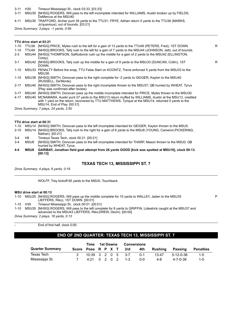3-11 H30 Timeout Mississippi St., clock 03:33. [03:33]

3-11 MSU30 [NHSG] ROGERS, Will pass to the left incomplete intended for WILLIAMS, Austin broken up by FIELDS, DaMarcus at the MSU40.

4-11 MSU30 TRAFFORD, Archer punt 39 yards to the TTU31, FRYE, Adrian return 5 yards to the TTU36 (MARKS, Jo'quavious), out of bounds. [03:21]

*Drive Summary: 3 plays, -1 yards, 0:59*

#### **TTU drive start at 03:21**

| $1 - 10$ | TTU36 | [NHSG] PRICE, Myles rush to the left for a gain of 13 yards to the TTU49 (PETERS, Fred), 1ST DOWN.                                                                                                                                               | R. |
|----------|-------|--------------------------------------------------------------------------------------------------------------------------------------------------------------------------------------------------------------------------------------------------|----|
| $1 - 10$ | TTU49 | [NHSG] BROOKS, Tahj rush to the left for a gain of 7 yards to the MSU44 (JOHNSON, Jett), out of bounds.                                                                                                                                          |    |
| $2 - 3$  | MSU44 | [NHSG] THOMPSON, SaRodorick rush up the middle for a gain of 2 yards to the MSU42 (ELLINGTON,<br>Corey).                                                                                                                                         |    |
| $3 - 1$  | MSU42 | [NHSG] BROOKS, Tahj rush up the middle for a gain of 9 yards to the MSU33 (DUNCAN, Collin), 1ST<br>DOWN.                                                                                                                                         | R  |
| $1 - 10$ |       | MSU33 PENALTY Before the snap, TTU False Start on KOONTZ, Travis enforced 5 yards from the MSU33 to the<br>MSU38.                                                                                                                                |    |
| $1 - 15$ |       | MSU38 [NHSG] SMITH, Donovan pass to the right complete for -2 yards to GEIGER, Kaylon to the MSU40<br>(RUSSELL, De'Monte).                                                                                                                       |    |
| $2 - 17$ | MSU40 | [NHSG] SMITH, Donovan pass to the right incomplete thrown to the MSU37; QB hurried by WHEAT, Tyrus<br>(Play was confirmed after review).                                                                                                         |    |
| $3 - 17$ |       | MSU40 [NHSG] SMITH, Donovan pass up the middle incomplete intended for PRICE, Myles thrown to the MSU30.                                                                                                                                         |    |
| 4-17     |       | MSU40 MCNAMARA, Austin punt 27 yards to the MSU13 return muffed by WILLIAMS, Austin at the MSU13, credited<br>with 1 yard on the return, recovered by TTU MATTHEWS, Tyrique at the MSU14, returned 0 yards to the<br>MSU14, End of Play. [00:31] |    |
|          |       | Drive Summary: 7 plays, 24 yards, 2:50                                                                                                                                                                                                           |    |
|          |       |                                                                                                                                                                                                                                                  |    |

#### **TTU drive start at 00:31**

1-10 MSU14 [NHSG] SMITH, Donovan pass to the left incomplete intended for GEIGER, Kaylon thrown to the MSU5.

- 2-10 MSU14 [NHSG] BROOKS, Tahj rush to the right for a gain of 6 yards to the MSU8 (YOUNG, Cameron;PICKERING, Nathan). [00:21]
- 3-4 H8 Timeout Texas Tech, clock 00:21. [00:21]
- 3-4 MSU8 [NHSG] SMITH, Donovan pass to the left incomplete intended for THARP, Mason thrown to the MSU0; QB hurried by WHEAT, Tyrus.
- **4-4 MSU8 GARIBAY, Jonathan field goal attempt from 26 yards GOOD [kick was spotted at MSU16], clock 00:13. [00:13]**

#### **TEXAS TECH 13, MISSISSIPPI ST. 7**

P

*Drive Summary: 4 plays, 6 yards, 0:18*

WOLFF, Trey kickoff 65 yards to the MSU0, Touchback.

#### **MSU drive start at 00:13**

1-10 MSU25 [NHSG] ROGERS, Will pass up the middle complete for 10 yards to WALLEY, Jaden to the MSU35 (JEFFERS, Riko), 1ST DOWN. [00:01]

1-10 H35 Timeout Mississippi St., clock 00:01. [00:01]

1-10 MSU35 [NHSG] ROGERS, Will pass to the left complete for 8 yards to GRIFFIN, Lideatrick caught at the MSU37 and advanced to the MSU43 (JEFFERS, Riko;DREW, Devin). [00:00]

*Drive Summary: 2 plays, 18 yards, 0:13*

End of first half, clock 0:00.

# **END OF 2ND QUARTER: TEXAS TECH 13, MISSISSIPPI ST. 7**

|                        |                    | Time                |  | <b>1st Downs</b> | <b>Conversions</b> |         |           |                |                  |
|------------------------|--------------------|---------------------|--|------------------|--------------------|---------|-----------|----------------|------------------|
| <b>Quarter Summary</b> | Score Poss R P X T |                     |  |                  | 3rd                | 4th     | Rushina   | <b>Passing</b> | <b>Penalties</b> |
| Texas Tech             |                    | $10:39$ 3 2 0 5 3-7 |  |                  |                    | $0 - 1$ | $13 - 47$ | 5-12-0-36      | 1-5              |
| Mississippi St.        |                    | 4.21 0 2 0 2        |  |                  | $1 - 3$            | 0-0     | 4-8       | 4-7-0-38       | $1 - 5$          |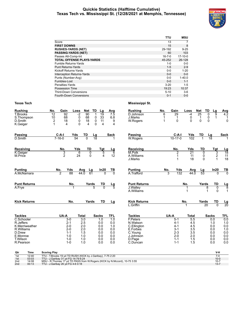#### **Quickie Statistics (Halftime Cumulative) Texas Tech vs. Mississippi St. (12/28/2021 at Memphis, Tennessee)**



|                                   | TTU          | <b>MSU</b> |
|-----------------------------------|--------------|------------|
| Score                             | 13           | 7          |
| <b>FIRST DOWNS</b>                | 15           | 8          |
| <b>RUSHES-YARDS (NET)</b>         | 29-192       | $9 - 25$   |
| <b>PASSING-YARDS (NET)</b>        | 60           | 103        |
| Passes Att-Comp-Int               | $16 - 7 - 0$ | $17-10-0$  |
| <b>TOTAL OFFENSE PLAYS-YARDS</b>  | 45-252       | 26-128     |
| <b>Fumble Returns-Yards</b>       | 1-0          | $0 - 0$    |
| <b>Punt Returns-Yards</b>         | $1 - 5$      | $2 - 9$    |
| Kickoff Returns-Yards             | $0 - 0$      | $1 - 20$   |
| <b>Interception Returns-Yards</b> | $0 - 0$      | $0 - 0$    |
| Punts (Number-Avg)                | $0 - 0$      | $1 - 40.0$ |
| Fumbles-Lost                      | $0 - 0$      | $1 - 1$    |
| Penalties-Yards                   | $3 - 20$     | $1 - 5$    |
| Possession Time                   | 19:23        | 10:37      |
| <b>Third-Down Conversions</b>     | $5 - 10$     | $3-6$      |
| Fourth-Down Conversions           | $0 - 1$      | $0 - 0$    |

| <b>Rushing</b>                                                                                          | No.                                                                                | Gain                                                                               | Loss                       | <b>Net</b>                                                        | TD                     | Lg                                                   | Avg                                                               | <b>Rushing</b>                                                                                | No.         | Gain                                                                               | Loss                                                 | <b>Net</b>               | <b>TD</b>                        | Lg                                                   | Avg                                                  |
|---------------------------------------------------------------------------------------------------------|------------------------------------------------------------------------------------|------------------------------------------------------------------------------------|----------------------------|-------------------------------------------------------------------|------------------------|------------------------------------------------------|-------------------------------------------------------------------|-----------------------------------------------------------------------------------------------|-------------|------------------------------------------------------------------------------------|------------------------------------------------------|--------------------------|----------------------------------|------------------------------------------------------|------------------------------------------------------|
| T.Brooks<br>S.Thompson<br>D.Smith<br>K.Geiger                                                           | $\overline{12}$<br>10<br>2<br>1                                                    | 92<br>68<br>18<br>4                                                                | $-2$<br>0<br>0<br>$\Omega$ | 90<br>68<br>18<br>4                                               | 0<br>0<br>$\mathbf{0}$ | 19<br>33<br>11<br>4                                  | $\overline{7.5}$<br>6.8<br>9<br>4                                 | D.Johnson<br>J.Marks<br>W.Rogers                                                              | 6<br>1<br>1 | 29<br>1<br>$\Omega$                                                                | $-4$<br>0<br>0                                       | 25<br>1<br>$\mathbf{0}$  | $\mathbf 0$<br>0<br>$\mathbf{0}$ | 9<br>$\mathbf 1$                                     | $\overline{4.2}$<br>1<br>0                           |
| <b>Passing</b><br>D.Smith                                                                               | $C-A-I$<br>$7 - 16 - 0$                                                            |                                                                                    | Yds<br>54                  | TD<br>$\overline{0}$                                              | $\frac{\text{Lg}}{18}$ |                                                      | Sack                                                              | Passing<br>W.Rogers                                                                           |             | $C-A-I$<br>$10 - 17 - 0$                                                           | Yds<br>102                                           | TD                       | $\frac{\text{Lg}}{18}$           |                                                      | <b>Sack</b>                                          |
| Receiving<br>K.Geiger<br>M.Price                                                                        |                                                                                    | No.<br>3<br>$\overline{2}$                                                         | Yds<br>6<br>24             | <b>TD</b><br>$\overline{0}$                                       | $\Omega$               | Tgt<br>5<br>4                                        | <u>Lg</u><br>$\overline{6}$<br>12                                 | <b>Receiving</b><br>M.Polk<br>A. Williams<br>J.Marks                                          |             | No.<br>$\overline{2}$<br>1                                                         | Yds<br>$\overline{21}$<br>11<br>18                   | <b>TD</b><br>0<br>0<br>0 |                                  | <b>Tgt</b><br>3<br>2<br>$\mathbf{1}$                 | $\frac{Lg}{18}$<br>11<br>18                          |
| <b>Punting</b><br>A.McNamara                                                                            | No.<br>2                                                                           | Yds<br>88                                                                          | Avg<br>44.0                |                                                                   | Lg<br>61               | In20                                                 | <u>ТВ</u><br>$\overline{0}$                                       | <b>Punting</b><br>A.Trafford                                                                  | No.<br>3    | Yds<br>132                                                                         | Avg<br>44.0                                          | Lg<br>$\overline{53}$    |                                  | In20<br>$\Omega$                                     | $rac{TB}{0}$                                         |
| <b>Punt Returns</b><br>A.Frye                                                                           |                                                                                    | No.                                                                                | 1                          |                                                                   | Yards<br>5             | TD<br>$\overline{0}$                                 | $\frac{\text{Lg}}{5}$                                             | <b>Punt Returns</b><br>J.Walley<br>A. Williams                                                |             |                                                                                    | No.                                                  | Yards                    | 8                                | <b>TD</b><br>0<br>$\Omega$                           | $\frac{Lg}{8}$<br>$\mathbf{1}$                       |
| <b>Kick Returns</b>                                                                                     |                                                                                    | No.                                                                                |                            | Yards                                                             |                        | <b>TD</b>                                            | <u>Lg</u>                                                         | <b>Kick Returns</b><br>L.Griffin                                                              |             |                                                                                    | No.                                                  | Yards                    | $\overline{20}$                  | TD<br>$\overline{0}$                                 | $\frac{\text{Lg}}{20}$                               |
| <b>Tackles</b>                                                                                          |                                                                                    | UA-A                                                                               | <b>Total</b>               |                                                                   |                        | <b>Sacks</b>                                         | <b>TFL</b>                                                        | <b>Tackles</b>                                                                                |             | UA-A                                                                               | <b>Total</b>                                         |                          | <b>Sacks</b>                     |                                                      | <b>TFL</b>                                           |
| C.Schooler<br>R.Jeffers<br>K.Merriweather<br>R. Williams<br>D.Drew<br>E.Monroe<br>T.Wilson<br>R.Pearson |                                                                                    | $3-0$<br>$2 - 1$<br>$2 - 0$<br>$2 - 0$<br>$1 - 1$<br>$1 - 0$<br>$1 - 0$<br>$1 - 0$ |                            | $\overline{3.0}$<br>2.5<br>2.0<br>2.0<br>1.5<br>1.0<br>1.0<br>1.0 |                        | 1.0<br>0.0<br>0.0<br>0.0<br>0.0<br>0.0<br>0.0<br>0.0 | $\overline{1.0}$<br>0.0<br>1.0<br>0.0<br>0.0<br>0.0<br>0.0<br>0.0 | F.Peters<br>N.Watson<br>C.Ellington<br>E.Forbes<br>C.Young<br>J.Johnson<br>D.Page<br>C.Duncan |             | $5-1$<br>$4 - 1$<br>$4 - 1$<br>$3 - 1$<br>$2 - 3$<br>$2 - 0$<br>$1 - 1$<br>$1 - 1$ | 5.5<br>4.5<br>4.5<br>3.5<br>3.5<br>2.0<br>1.5<br>1.5 |                          |                                  | 0.0<br>1.0<br>0.0<br>0.0<br>0.0<br>0.0<br>0.0<br>0.0 | 0.0<br>1.0<br>0.0<br>1.0<br>0.0<br>0.0<br>0.0<br>0.0 |
| Qtr<br><b>Time</b><br>$1$ of<br>12.40                                                                   | <b>Scoring Play</b><br>TTIL, T Brooks 19 vd TD RHSH (KICK by L Caribay), 7-75 2:20 |                                                                                    |                            |                                                                   |                        |                                                      |                                                                   |                                                                                               |             |                                                                                    |                                                      |                          |                                  | V-H<br>7.0                                           |                                                      |

| wu              | ,,,,,, | <b>OCOLING FIRE</b>                                                       | v-n      |
|-----------------|--------|---------------------------------------------------------------------------|----------|
| 1st             | 12:40  | TTU - T. Brooks 19 yd TD RUSH (KICK by J. Garibay), 7-75 2:20             |          |
| 1st             | 03:03  | TTU - J.Garibay 31 yd FG 14-79 6:24                                       | $10 - 0$ |
| 2 <sub>nd</sub> | 14:08  | MSU - R.Thomas 17 yd TD PASS from W.Rogers (KICK by N.Mccord), 10-75 3:55 | 10-7     |
| 2 <sub>nd</sub> | 00:13  | TTU - J.Garibay 26 yd FG 4-6 0:18                                         | $13 - 7$ |
|                 |        |                                                                           |          |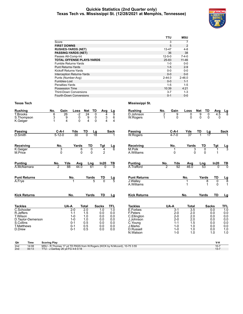#### **Quickie Statistics (2nd Quarter only) Texas Tech vs. Mississippi St. (12/28/2021 at Memphis, Tennessee)**



|                                   | TTU          | <b>MSU</b>  |
|-----------------------------------|--------------|-------------|
| Score                             | 3            | 7           |
| <b>FIRST DOWNS</b>                | 5            | 2           |
| <b>RUSHES-YARDS (NET)</b>         | 13-47        | $4 - 8$     |
| <b>PASSING-YARDS (NET)</b>        | 36           | 38          |
| Passes Att-Comp-Int               | $12 - 5 - 0$ | $7 - 4 - 0$ |
| <b>TOTAL OFFENSE PLAYS-YARDS</b>  | 25-83        | $11 - 46$   |
| Fumble Returns-Yards              | 1-0          | $0 - 0$     |
| <b>Punt Returns-Yards</b>         | $1 - 5$      | $2 - 9$     |
| Kickoff Returns-Yards             | $0 - 0$      | $0-0$       |
| <b>Interception Returns-Yards</b> | $0 - 0$      | $0 - 0$     |
| Punts (Number-Avg)                | $2 - 44.0$   | $2 - 46.0$  |
| Fumbles-Lost                      | $0 - 0$      | $1 - 1$     |
| Penalties-Yards                   | 1-5          | $1 - 5$     |
| Possession Time                   | 10:39        | 4:21        |
| <b>Third-Down Conversions</b>     | $3 - 7$      | $1 - 3$     |
| Fourth-Down Conversions           | $0 - 1$      | $0 - 0$     |

| <b>Rushing</b>                  | No.                 | Gain                         | Net<br>Loss             | TD                     | Avg            | <u>Lg</u>             | <b>Rushing</b>           | No. | Gain               | Loss                    | <b>Net</b><br>TD        | Avg           |                                  |
|---------------------------------|---------------------|------------------------------|-------------------------|------------------------|----------------|-----------------------|--------------------------|-----|--------------------|-------------------------|-------------------------|---------------|----------------------------------|
| <b>T.Brooks</b>                 | 6                   | 26                           | 24<br>$-2$              | 0                      | 4              | ब्र                   | D.Johnson                | 2   | 9                  | 0                       | 9<br>$\mathbf 0$        | 4.5           | $\frac{\mathsf{L}\mathsf{g}}{8}$ |
| S.Thompson<br>K.Geiger          | 3                   | 9<br>$\overline{\mathbf{4}}$ | 9<br>0<br>$\Omega$<br>4 | 0<br>0                 | 3<br>4         | 6<br>4                | W.Rogers                 | 1   | $\Omega$           | $\Omega$                | $\Omega$<br>$\mathbf 0$ | 0             |                                  |
|                                 |                     |                              |                         |                        |                |                       |                          |     |                    |                         |                         |               |                                  |
| Passing                         | $C-A-I$             | Yds                          | TD                      |                        |                | Sack                  | <b>Passing</b>           |     | $C-A-I$            |                         | TD                      |               | <b>Sack</b>                      |
| D.Smith                         | $5 - 12 - 0$        | 30                           | $\overline{0}$          | $\frac{\text{Lg}}{18}$ |                |                       | <b>W.Rogers</b>          |     | $4 - 7 - 0$        | $\frac{\text{Yds}}{37}$ | $\frac{Lg}{17}$         |               |                                  |
| Receiving                       | No.                 |                              | Yards                   | TD                     | Tgt            | $\frac{Lg}{6}$        | <b>Receiving</b>         |     | No.                | Yards                   | TD                      | Tgt           | $\frac{Lg}{3}$                   |
| K.Geiger                        | 3                   |                              | 6                       | 0                      | 4              |                       | M.Polk                   |     |                    | 3                       | 0                       |               |                                  |
| M.Price                         | 0                   |                              | 0                       | $\Omega$               | $\overline{2}$ |                       | A. Williams              |     | 0                  | $\Omega$                | $\mathbf{0}$            |               |                                  |
| <b>Punting</b>                  | No.                 | Yds                          | Avg                     | Lng                    | In20           | $\frac{TB}{0}$        | <b>Punting</b>           | No. | Yds                | Avg                     | Lng                     | In20          | $\frac{TB}{0}$                   |
| A.McNamara                      | 2                   | 88                           | 44.0                    | 61                     | $\Omega$       |                       | A. Trafford              | 2   | 92                 | 46.0                    | $\overline{53}$         | $\Omega$      |                                  |
| <b>Punt Returns</b>             |                     | No.                          |                         | Yards                  | TD             | $\frac{\text{Lg}}{5}$ | <b>Punt Returns</b>      |     |                    | No.                     | Yards                   | TD            | $\frac{Lg}{8}$                   |
| A.Frye                          |                     | 1                            |                         | 5                      | $\overline{0}$ |                       | J.Walley<br>A. Williams  |     |                    | 1                       | 8                       | 0<br>$\Omega$ | $\mathbf{1}$                     |
| <b>Kick Returns</b>             |                     | No.                          |                         | Yards                  | <b>TD</b>      | Lg                    | <b>Kick Returns</b>      |     |                    | No.                     | Yards                   | <b>TD</b>     | <u>Lg</u>                        |
| <b>Tackles</b>                  |                     | UA-A                         | <b>Total</b>            |                        | <b>Sacks</b>   | <b>TFL</b>            | <b>Tackles</b>           |     | UA-A               | <b>Total</b>            |                         | <b>Sacks</b>  | <b>TFL</b>                       |
| C.Schooler                      |                     | $2-0$                        | $\overline{2.0}$        |                        | 1.0            | $\overline{1.0}$      | E.Forbes                 |     | $3 - 1$            | $\overline{3.5}$        |                         | 0.0           | $\overline{1.0}$                 |
| R.Jeffers                       |                     | $1 - 1$                      | 1.5                     |                        | 0.0            | 0.0                   | F.Peters                 |     | $2 - 0$            | 2.0                     |                         | 0.0           | 0.0                              |
| T.Wilson                        |                     | $1 - 0$<br>$1 - 0$           | 1.0<br>1.0              |                        | 0.0<br>0.0     | 0.0<br>0.0            | C.Ellington<br>J.Johnson |     | $2 - 0$<br>$2 - 0$ | 2.0<br>2.0              |                         | 0.0<br>0.0    | 0.0<br>0.0                       |
| D. Taylor-Demerson<br>S.Collins |                     | $0 - 1$                      | 0.5                     |                        | 0.0            | 0.0                   | C.Young                  |     | $1 - 1$            | 1.5                     |                         | 0.0           | 0.0                              |
| <b>T.Matthews</b>               |                     | $0 - 1$                      | 0.5                     |                        | 0.0            | 0.0                   | J.Marks                  |     | $1 - 0$            | 1.0                     |                         | 0.0           | 0.0                              |
| D.Drew                          |                     | $0 - 1$                      | 0.5                     |                        | 0.0            | 0.0                   | D.Russell                |     | $1 - 0$            | 1.0                     |                         | 0.0           | 1.0                              |
|                                 |                     |                              |                         |                        |                |                       | N.Watson                 |     | $1 - 0$            | 1.0                     |                         | 1.0           | 1.0                              |
| Otr<br>Time                     | <b>Scoring Play</b> |                              |                         |                        |                |                       |                          |     |                    |                         |                         | V-H           |                                  |

| Qtr | Time  | <b>Scoring Play</b>                                                          | V-H |
|-----|-------|------------------------------------------------------------------------------|-----|
| 2nd | 14:08 | MSU - R. Thomas 17 yd TD PASS from W. Rogers (KICK by N. Mccord), 10-75 3:55 |     |
| 2nd | 00:13 | TTU - J.Garibay 26 yd FG 4-6 0:18                                            | 10' |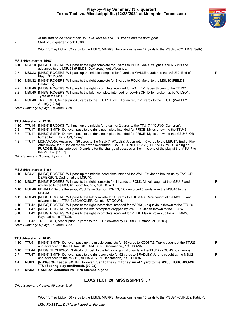

P

*At the start of the second half, MSU will receive and TTU will defend the north goal.* Start of 3rd quarter, clock 15:00.

WOLFF, Trey kickoff 62 yards to the MSU3, MARKS, Jo'quavious return 17 yards to the MSU20 (COLLINS, Seth).

#### **MSU drive start at 14:57**

|  | 1-10 MSU20 [NHSG] ROGERS, Will pass to the right complete for 3 yards to POLK, Makai caught at the MSU19 and |
|--|--------------------------------------------------------------------------------------------------------------|
|  | advanced to the MSU23 (FIELDS, DaMarcus), out of bounds.                                                     |

- 2-7 MSU23 [NHSG] ROGERS, Will pass up the middle complete for 9 yards to WALLEY, Jaden to the MSU32, End of Play, 1ST DOWN.
- 1-10 MSU32 [NHSG] ROGERS, Will pass to the right complete for 8 yards to POLK, Makai to the MSU40 (FIELDS, DaMarcus).
- 2-2 MSU40 [NHSG] ROGERS, Will pass to the right incomplete intended for WALLEY, Jaden thrown to the TTU37.
- 3-2 MSU40 [NHSG] ROGERS, Will pass to the left incomplete intended for JOHNSON, Dillon broken up by WILSON, Tyree at the MSU35.
- 4-2 MSU40 TRAFFORD, Archer punt 43 yards to the TTU17, FRYE, Adrian return -2 yards to the TTU15 (WALLEY, Jaden). [12:58]

*Drive Summary: 5 plays, 20 yards, 1:59*

#### **TTU drive start at 12:58**

|         |       | 1-10 TTU15 [NHSG] BROOKS, Tahj rush up the middle for a gain of 2 yards to the TTU17 (YOUNG, Cameron).                                                                                                                                                                                                                                      |
|---------|-------|---------------------------------------------------------------------------------------------------------------------------------------------------------------------------------------------------------------------------------------------------------------------------------------------------------------------------------------------|
| $2 - 8$ | TTU17 | [NHSG] SMITH, Donovan pass to the right incomplete intended for PRICE, Myles thrown to the TTU48.                                                                                                                                                                                                                                           |
| $3 - 8$ | TTU17 | [NHSG] SMITH, Donovan pass to the right incomplete intended for PRICE, Myles thrown to the MSU48; QB<br>hurried by ELLINGTON, Corey.                                                                                                                                                                                                        |
| 4-8     | TTU17 | MCNAMARA, Austin punt 36 yards to the MSU47, WALLEY, Jaden return 0 yards to the MSU47, End of Play.<br>After review, the ruling on the field was overturned: (OVERTURNED PLAY: ). PENALTY MSU Holding on<br>FURDGE, Esaias enforced 10 yards after the change of possession from the end of the play at the MSU47 to<br>the MSU37. [11:57] |
|         |       | Drive Summary: 3 plays 2 vards 1:01                                                                                                                                                                                                                                                                                                         |

*Drive Summary: 3 plays, 2 yards, 1:01*

#### **MSU drive start at 11:57**

| $1 - 10$ | MSU37 | [NHSG] ROGERS, Will pass up the middle incomplete intended for WALLEY, Jaden broken up by TAYLOR-<br>DEMERSON, Dadrion at the MSU40.                           |   |
|----------|-------|----------------------------------------------------------------------------------------------------------------------------------------------------------------|---|
| $2 - 10$ |       | MSU37 [NHSG] ROGERS, Will pass to the right complete for 11 yards to POLK, Makai caught at the MSU47 and<br>advanced to the MSU48, out of bounds, 1ST DOWN.    | P |
| 1-10     |       | MSU48 PENALTY Before the snap, MSU False Start on JONES, Nick enforced 5 yards from the MSU48 to the<br>MSU43.                                                 |   |
| $1 - 15$ |       | MSU43 [NHSG] ROGERS, Will pass to the left complete for 15 yards to THOMAS, Rara caught at the MSU50 and<br>advanced to the TTU42 (SCHOOLER, Colin), 1ST DOWN. | P |
| 1-10     | TTU42 | [NHSG] ROGERS, Will pass to the right incomplete intended for MARKS, Jo'quavious thrown to the TTU20.                                                          |   |
| $2 - 10$ | TTU42 | [NHSG] ROGERS, Will pass to the left incomplete dropped by WALLEY, Jaden thrown to the TTU24.                                                                  |   |
| $3 - 10$ | TTU42 | [NHSG] ROGERS, Will pass to the right incomplete intended for POLK, Makai broken up by WILLIAMS,<br>Rayshad at the TTU25.                                      |   |
| 4-10     |       | TTU42 TRAFFORD, Archer punt 37 yards to the TTU5 downed by FORBES, Emmanuel. [10:03]                                                                           |   |
|          |       | Drive Summary: 6 plays, 21 yards, 1:54                                                                                                                         |   |
|          |       |                                                                                                                                                                |   |

#### **TTU drive start at 10:03**

| 1-10    | TTU5        | [NHSG] SMITH, Donovan pass up the middle complete for 39 yards to KOONTZ, Travis caught at the TTU26<br>and advanced to the TTU44 (RICHARDSON, Decamerion), 1ST DOWN. | P |
|---------|-------------|-----------------------------------------------------------------------------------------------------------------------------------------------------------------------|---|
| 1-10    | TTU44       | [NHSG] THOMPSON, SaRodorick rush to the left for a gain of 3 yards to the TTU47 (YOUNG, Cameron).                                                                     |   |
| $2 - 7$ | TTU47       | [NHSG] SMITH, Donovan pass to the right complete for 52 yards to BRADLEY, Jerand caught at the MSU21<br>and advanced to the MSU1 (RICHARDSON, Decamerion), 1ST DOWN.  | P |
| $1 - 1$ | <b>MSU1</b> | [NHSG] QB Keeper SMITH, Donovan rush to the right for a gain of 1 yard to the MSU0, TOUCHDOWN<br>TTU (Scoring play confirmed). [09:03]                                |   |
| $1 - 3$ | <b>MSU3</b> | <b>GARIBAY, Jonathan PAT kick attempt is good.</b>                                                                                                                    |   |

#### **TEXAS TECH 20, MISSISSIPPI ST. 7**

*Drive Summary: 4 plays, 95 yards, 1:00*

WOLFF, Trey kickoff 56 yards to the MSU9, MARKS, Jo'quavious return 15 yards to the MSU24 (CURLEY, Patrick).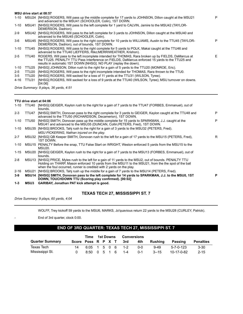# **MSU drive start at 08:57**

| $1 - 10$ |                   | MSU24 [NHSG] ROGERS, Will pass up the middle complete for 17 yards to JOHNSON, Dillon caught at the MSU21<br>and advanced to the MSU41 (SCHOOLER, Colin), 1ST DOWN.                                                                                                        | P  |
|----------|-------------------|----------------------------------------------------------------------------------------------------------------------------------------------------------------------------------------------------------------------------------------------------------------------------|----|
| $1 - 10$ | MSU41             | [NHSG] ROGERS, Will pass to the left complete for 1 yard to CALVIN, Jamire to the MSU42 (TAYLOR-<br>DEMERSON, Dadrion).                                                                                                                                                    |    |
| $2-9$    |                   | MSU42 [NHSG] ROGERS, Will pass to the left complete for 3 yards to JOHNSON, Dillon caught at the MSU40 and<br>advanced to the MSU45 (SCHOOLER, Colin).                                                                                                                     |    |
| $3-6$    | MSU45             | [NHSG] ROGERS, Will pass to the right complete for 10 yards to WILLIAMS, Austin to the TTU45 (TAYLOR-<br>DEMERSON, Dadrion), out of bounds, 1ST DOWN.                                                                                                                      | P  |
| $1 - 10$ | TTU45             | [NHSG] ROGERS, Will pass to the right complete for 5 yards to POLK, Makai caught at the TTU46 and<br>advanced to the TTU40 (JEFFERS, Riko; MERRIWEATHER, Krishon).                                                                                                         |    |
| $2 - 5$  | TTU40             | ROGERS, Will pass to the left incomplete intended for THOMAS, Rara broken up by FIELDS, DaMarcus at<br>the TTU25. PENALTY TTU Pass Interference on FIELDS, DaMarcus enforced 15 yards to the TTU25 and<br>results in automatic 1ST DOWN [NHSG]. NO PLAY (replay the down). | F. |
| $1 - 10$ | TTU25             | [NHSG] JOHNSON, Dillon rush to the right for a gain of 5 yards to the TTU20 (MONROE, Eric).                                                                                                                                                                                |    |
| $2 - 5$  | TTU <sub>20</sub> | [NHSG] ROGERS, Will pass to the right incomplete intended for THOMAS, Rara thrown to the TTU0.                                                                                                                                                                             |    |
| $3 - 5$  | TTU <sub>20</sub> | [NHSG] ROGERS, Will sacked for a loss of 11 yards at the TTU31 (WILSON, Tyree).                                                                                                                                                                                            |    |
| $4 - 16$ | TTU31             | [NHSG] ROGERS, Will sacked for a loss of 9 yards at the TTU40 (WILSON, Tyree); MSU turnover on downs.<br>[04:06]                                                                                                                                                           |    |
|          |                   | Drive Summary: 9 plays, 36 yards, 4:51                                                                                                                                                                                                                                     |    |
|          |                   |                                                                                                                                                                                                                                                                            |    |

#### **TTU drive start at 04:06**

| $1 - 10$ | TTU40       | [NHSG] GEIGER, Kaylon rush to the right for a gain of 7 yards to the TTU47 (FORBES, Emmanuel), out of<br>bounds.                                                                                                                                                                          |   |
|----------|-------------|-------------------------------------------------------------------------------------------------------------------------------------------------------------------------------------------------------------------------------------------------------------------------------------------|---|
| $2 - 3$  | TTU47       | [NHSG] SMITH, Donovan pass to the right complete for 3 yards to GEIGER, Kaylon caught at the TTU48 and<br>advanced to the TTU50 (RICHARDSON, Decamerion), 1ST DOWN.                                                                                                                       | P |
| $1 - 10$ | TTU50       | [NHSG] SMITH, Donovan pass up the middle complete for 15 yards to SPARKMAN, J.J. caught at the<br>MSU41 and advanced to the MSU35 (DUNCAN, Collin; PETERS, Fred), 1ST DOWN.                                                                                                               | P |
| $1 - 10$ |             | MSU35 [NHSG] BROOKS, Tahj rush to the right for a gain of 3 yards to the MSU32 (PETERS, Fred).<br>MSU PICKERING, Nathan injured on the play.                                                                                                                                              |   |
| $2 - 7$  |             | MSU32 [NHSG] QB Keeper SMITH, Donovan rush to the left for a gain of 17 yards to the MSU15 (PETERS, Fred),<br>1ST DOWN.                                                                                                                                                                   | R |
| 1-10     |             | MSU15 PENALTY Before the snap. TTU False Start on WRIGHT, Weston enforced 5 yards from the MSU15 to the<br>MSU <sub>20</sub>                                                                                                                                                              |   |
| $1 - 15$ |             | MSU20 [NHSG] GEIGER, Kaylon rush to the right for a gain of 7 yards to the MSU13 (FORBES, Emmanuel), out of<br>bounds.                                                                                                                                                                    |   |
| $2 - 8$  |             | MSU13 [NHSG] PRICE, Myles rush to the left for a gain of 11 yards to the MSU2, out of bounds. PENALTY TTU<br>Holding on THARP, Mason enforced 10 yards from the MSU11 to the MSU21, from the the spot of the ball<br>when the foul occurred, runner is credited with 2 yards on the play. |   |
| $2 - 16$ |             | MSU21 [NHSG] BROOKS, Tahj rush up the middle for a gain of 7 yards to the MSU14 (PETERS, Fred).                                                                                                                                                                                           |   |
| $3-9$    |             | MSU14 [NHSG] SMITH, Donovan pass to the left complete for 14 yards to SPARKMAN, J.J. to the MSU0, 1ST<br>DOWN, TOUCHDOWN TTU (Scoring play confirmed). [00:02]                                                                                                                            | P |
| $1 - 3$  | <b>MSU3</b> | <b>GARIBAY, Jonathan PAT kick attempt is good.</b>                                                                                                                                                                                                                                        |   |

# **TEXAS TECH 27, MISSISSIPPI ST. 7**

*Drive Summary: 9 plays, 60 yards, 4:04*

WOLFF, Trey kickoff 59 yards to the MSU6, MARKS, Jo'quavious return 22 yards to the MSU28 (CURLEY, Patrick).

End of 3rd quarter, clock 0:00.

# **END OF 3RD QUARTER: TEXAS TECH 27, MISSISSIPPI ST. 7**

|                        | Time                   | 1st Downs |  |  |  |  | <b>Conversions</b> |            |          |            |           |  |
|------------------------|------------------------|-----------|--|--|--|--|--------------------|------------|----------|------------|-----------|--|
| <b>Quarter Summary</b> | Score Poss R P X T 3rd |           |  |  |  |  |                    | 4th        | Rushina  | Passing    | Penalties |  |
| Texas Tech             | 14                     |           |  |  |  |  | 6:05 1 5 0 6 1-2   | <u>ດ-ດ</u> | $9-49$   | 5-7-0-123  | $3 - 30$  |  |
| Mississippi St.        |                        |           |  |  |  |  | 8:50 0 5 1 6 1-4   | $0 - 1$    | $3 - 15$ | 10-17-0-82 | $2 - 15$  |  |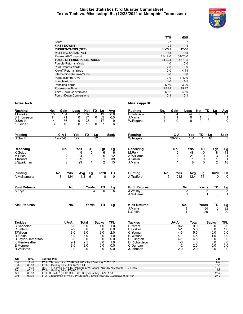#### **Quickie Statistics (3rd Quarter Cumulative) Texas Tech vs. Mississippi St. (12/28/2021 at Memphis, Tennessee)**



|                                   | TTU           | <b>MSU</b>    |
|-----------------------------------|---------------|---------------|
| Score                             | 27            | 7             |
| <b>FIRST DOWNS</b>                | 21            | 14            |
| <b>RUSHES-YARDS (NET)</b>         | 38-241        | $12 - 10$     |
| <b>PASSING-YARDS (NET)</b>        | 183           | 185           |
| Passes Att-Comp-Int               | $23 - 12 - 0$ | $34 - 20 - 0$ |
| <b>TOTAL OFFENSE PLAYS-YARDS</b>  | 61-424        | 46-195        |
| <b>Fumble Returns-Yards</b>       | $1 - 0$       | $0 - 0$       |
| <b>Punt Returns-Yards</b>         | $2 - 3$       | $3-9$         |
| Kickoff Returns-Yards             | $0 - 0$       | 4-74          |
| <b>Interception Returns-Yards</b> | $0 - 0$       | $0 - 0$       |
| Punts (Number-Avg)                | $0 - 0$       | $1 - 40.0$    |
| Fumbles-Lost                      | $0 - 0$       | $1 - 1$       |
| Penalties-Yards                   | $6 - 50$      | $3 - 20$      |
| <b>Possession Time</b>            | 25:28         | 19:27         |
| <b>Third-Down Conversions</b>     | $6 - 12$      | $4 - 10$      |
| Fourth-Down Conversions           | $0 - 1$       | $0 - 1$       |

| Rushing                                                                                                  | No.                                                                                                                                                                                                                                                                                | Gain                                                  | Loss                                                   |                     | Net                         | TD                      | Lg                                     | Avg                                                 | Rushing                                                                      | No.      | Gain                                           | Loss                                      | Net                     | TD<br>Lg                                                          | <b>Avg</b>                                 |
|----------------------------------------------------------------------------------------------------------|------------------------------------------------------------------------------------------------------------------------------------------------------------------------------------------------------------------------------------------------------------------------------------|-------------------------------------------------------|--------------------------------------------------------|---------------------|-----------------------------|-------------------------|----------------------------------------|-----------------------------------------------------|------------------------------------------------------------------------------|----------|------------------------------------------------|-------------------------------------------|-------------------------|-------------------------------------------------------------------|--------------------------------------------|
| <b>T.Brooks</b><br>S.Thompson<br>D.Smith<br>K.Geiger                                                     | 15<br>11<br>4<br>3                                                                                                                                                                                                                                                                 | 104<br>71<br>36<br>18                                 | $-2$                                                   | 0<br>0<br>0         | 102<br>71<br>36<br>18       | 1<br>0<br>1<br>$\Omega$ | 19<br>33<br>17<br>$\overline{7}$       | 6.8<br>6.5<br>9<br>6                                | D.Johnson<br>J.Marks<br>W.Rogers                                             | 1<br>1   | 34<br>$\mathbf 1$<br>$\Omega$                  | -4<br>0<br>$\mathbf 0$                    | 30<br>1<br>$\Omega$     | 0<br>9<br>0<br>$\mathbf 1$<br>$\mathbf{0}$                        | 4.3<br>1<br>0                              |
| <b>Passing</b><br><b>D.Smith</b>                                                                         |                                                                                                                                                                                                                                                                                    | C-A-I<br>$12 - 23 - 0$                                | Yds<br>177                                             |                     | TD                          | Lg<br>$\overline{52}$   |                                        | Sack                                                | <b>Passing</b><br><b>W.Rogers</b>                                            |          | $C-A-I$<br>$20 - 34 - 0$                       | Yds<br>164                                | TD                      | Lg<br>18                                                          | <b>Sack</b>                                |
| Receiving                                                                                                |                                                                                                                                                                                                                                                                                    | No.                                                   |                                                        | Yds                 | TD                          |                         | Tgt                                    | <u>Lg</u>                                           | Receiving                                                                    |          | No.                                            | Yds                                       | TD                      | Tgt                                                               | <u>Lg</u>                                  |
| K.Geiger<br>M.Price<br>T.Koontz<br>J.Sparkman                                                            |                                                                                                                                                                                                                                                                                    | 4<br>$\overline{2}$<br>$\mathbf{1}$<br>$\overline{2}$ |                                                        | 9<br>24<br>39<br>29 | 0<br>0<br>0<br>$\mathbf{1}$ |                         | 6<br>6<br>1<br>$\overline{2}$          | 6<br>12<br>39<br>15                                 | M.Polk<br>A. Williams<br>J.Calvin<br>J.Marks                                 |          | 6<br>$\overline{2}$<br>1<br>1                  | 48<br>21<br>$\overline{\mathbf{1}}$<br>18 | 0<br>0<br>0<br>$\Omega$ | 8<br>3<br>$\mathbf{1}$<br>$\overline{2}$                          | $\overline{18}$<br>11<br>$\mathbf 1$<br>18 |
| <b>Punting</b><br>A.McNamara                                                                             | No.                                                                                                                                                                                                                                                                                | 3                                                     | Yds<br>124                                             | Avg<br>41.3         | Lg<br>61                    |                         | In20<br>$\Omega$                       | TВ<br>$\Omega$                                      | <b>Punting</b><br>A. Trafford                                                | No.<br>5 | Yds<br>212                                     | Avg<br>42.4                               | Lg<br>53                | In20<br>0                                                         | <u>TB</u><br>$\overline{0}$                |
| <b>Punt Returns</b>                                                                                      |                                                                                                                                                                                                                                                                                    |                                                       | No.                                                    |                     | Yards                       |                         | TD                                     | $\frac{\text{Lg}}{5}$                               | <b>Punt Returns</b>                                                          |          |                                                | No.                                       | Yards                   | TD                                                                | $\frac{\mathsf{Lg}}{8}$                    |
| A Frye                                                                                                   |                                                                                                                                                                                                                                                                                    |                                                       |                                                        |                     |                             |                         | $\overline{0}$                         |                                                     | <b>J.Walley</b><br>A. Williams                                               |          |                                                | $\overline{2}$<br>1                       |                         | 8<br>0<br>$\Omega$<br>1                                           | $\mathbf{1}$                               |
| <b>Kick Returns</b>                                                                                      |                                                                                                                                                                                                                                                                                    |                                                       | No.                                                    |                     | Yards                       |                         | <b>TD</b>                              | Lg                                                  | <b>Kick Returns</b><br>J.Marks<br>L.Griffin                                  |          |                                                | No.<br>3<br>1                             | Yards<br>54<br>20       | <b>TD</b><br>0<br>$\Omega$                                        | $\frac{Lg}{22}$<br>20                      |
| <b>Tackles</b>                                                                                           |                                                                                                                                                                                                                                                                                    | UA-A                                                  |                                                        | Total               |                             |                         | Sacks                                  | <b>TFL</b>                                          | <b>Tackles</b>                                                               |          | UA-A                                           | <b>Total</b>                              |                         | <b>Sacks</b>                                                      | TFL                                        |
| C.Schooler<br>R.Jeffers<br>T.Wilson<br>D.Fields<br>D.Taylor-Demerson<br>K.Merriweather                   |                                                                                                                                                                                                                                                                                    |                                                       | $6-0$<br>$2 - 2$<br>$3-0$<br>$3-0$<br>$3-0$<br>$2 - 1$ | 6.0<br>3.0<br>2.5   | 3.0<br>3.0<br>3.0           |                         | 1.0<br>0.0<br>2.0<br>0.0<br>0.0<br>0.0 | $\overline{1.0}$<br>0.0<br>2.0<br>1.0<br>0.0<br>1.0 | F.Peters<br>E.Forbes<br>C.Young<br>N.Watson<br>C.Ellington<br>D.Richardson   |          | $8-2$<br>$5-1$<br>$4 - 3$<br>4-1<br>4-1<br>4-0 | 9.0<br>5.5<br>5.5<br>4.5<br>4.5<br>4.0    |                         | 0.0<br>0.0<br>0.0<br>1.0<br>0.0<br>0.0                            | 0.0<br>1.0<br>0.0<br>1.0<br>0.0<br>0.0     |
| E.Monroe<br>R.Williams                                                                                   |                                                                                                                                                                                                                                                                                    |                                                       | $2 - 0$<br>$2 - 0$                                     | 2.0<br>2.0          |                             |                         | 0.0<br>0.0                             | 0.0<br>0.0                                          | C.Duncan<br>J.Johnson                                                        |          | $1 - 2$<br>$2 - 0$                             | 2.0<br>2.0                                |                         | 0.0<br>0.0                                                        | 0.0<br>0.0                                 |
| Qtr<br>Time                                                                                              | <b>Scoring Play</b>                                                                                                                                                                                                                                                                |                                                       |                                                        |                     |                             |                         |                                        |                                                     |                                                                              |          |                                                |                                           |                         | V-H                                                               |                                            |
| 12:40<br>1st<br>03:03<br>1st<br>14:08<br>2nd<br>00:13<br>2 <sub>nd</sub><br>09:03<br>3rd<br>00:02<br>3rd | TTU - T.Brooks 19 yd TD RUSH (KICK by J.Garibay), 7-75 2:20<br>TTU - J.Garibay 31 yd FG 14-79 6:24<br>TTU - J.Garibay 26 yd FG 4-6 0:18<br>TTU - D.Smith 1 yd TD RUSH (KICK by J.Garibay), 4-95 1:00<br>TTU - J.Sparkman 14 yd TD PASS from D.Smith (KICK by J.Garibay), 9-60 4:04 |                                                       |                                                        |                     |                             |                         |                                        |                                                     | MSU - R. Thomas 17 yd TD PASS from W. Rogers (KICK by N. Mccord), 10-75 3:55 |          |                                                |                                           |                         | $7-0$<br>$10 - 0$<br>$10 - 7$<br>$13 - 7$<br>$20 - 7$<br>$27 - 7$ |                                            |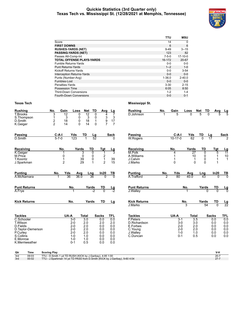#### **Quickie Statistics (3rd Quarter only) Texas Tech vs. Mississippi St. (12/28/2021 at Memphis, Tennessee)**



|                                   | TTU         | <b>MSU</b> |
|-----------------------------------|-------------|------------|
| Score                             | 14          | $\Omega$   |
| <b>FIRST DOWNS</b>                | 6           | 6          |
| <b>RUSHES-YARDS (NET)</b>         | $9 - 49$    | $3 - 15$   |
| <b>PASSING-YARDS (NET)</b>        | 123         | 82         |
| Passes Att-Comp-Int               | $7 - 5 - 0$ | $17-10-0$  |
| <b>TOTAL OFFENSE PLAYS-YARDS</b>  | 16-172      | $20 - 67$  |
| Fumble Returns-Yards              | $0 - 0$     | $0 - 0$    |
| <b>Punt Returns-Yards</b>         | $1 - 2$     | $1 - 0$    |
| Kickoff Returns-Yards             | $0 - 0$     | $3 - 54$   |
| <b>Interception Returns-Yards</b> | $0 - 0$     | $0 - 0$    |
| Punts (Number-Avg)                | $1 - 36.0$  | $2 - 40.0$ |
| Fumbles-Lost                      | $0 - 0$     | $0-0$      |
| Penalties-Yards                   | $3 - 30$    | $2 - 15$   |
| Possession Time                   | 6:05        | 8:50       |
| <b>Third-Down Conversions</b>     | $1 - 2$     | $1 - 4$    |
| Fourth-Down Conversions           | $0 - 0$     | $0 - 1$    |

| <b>Rushing</b>                                       | No.                                | Gain                | Loss                    | Net                 | TD<br>Avg                                       | Lg                                                                                | <b>Rushing</b>      | No.            | Gain          | Loss             | <b>Net</b>       | TD<br>Avg            |                            |
|------------------------------------------------------|------------------------------------|---------------------|-------------------------|---------------------|-------------------------------------------------|-----------------------------------------------------------------------------------|---------------------|----------------|---------------|------------------|------------------|----------------------|----------------------------|
| <b>T.Brooks</b><br>S.Thompson<br>D.Smith<br>K.Geiger | 3<br>$\mathbf{1}$<br>$\frac{2}{2}$ | 12<br>3<br>18<br>14 | 0<br>0<br>0<br>$\Omega$ | 12<br>3<br>18<br>14 | $\overline{0}$<br>0<br>$\mathbf{1}$<br>$\Omega$ | 7<br>4<br>$\begin{array}{c} 3 \\ 9 \\ 7 \end{array}$<br>3<br>17<br>$\overline{7}$ | D.Johnson           |                | 5             | <sup>0</sup>     | 5                | <sup>0</sup>         | $\frac{\text{Lg}}{5}$<br>5 |
| Passing                                              | $C-A-I$                            |                     | Yds                     | TD                  | $\frac{Lg}{52}$                                 | Sack                                                                              | Passing             |                | $C-A-I$       | Yds              | TD               | Lg                   | <b>Sack</b>                |
| D.Smith                                              | $5 - 7 - 0$                        |                     | 123                     |                     |                                                 | $\Omega$                                                                          | <b>W.Rogers</b>     |                | $10 - 17 - 0$ | 62               | $\overline{0}$   | $\overline{17}$      |                            |
| Receiving                                            |                                    | No.                 | Yards                   | TD                  | Tgt                                             | <u>Lg</u>                                                                         | Receiving           |                | No.           | Yards            | <b>TD</b>        | Tgt                  | $\frac{Lg}{11}$            |
| K.Geiger                                             |                                    | 1                   | 3                       | $\overline{0}$      | $\mathbf 1$                                     | 3                                                                                 | M.Polk              |                | 4             | 27               | $\overline{0}$   | 5                    |                            |
| M.Price                                              |                                    | 0                   | 0                       | 0                   | $\frac{2}{1}$                                   |                                                                                   | A.Williams          |                | 1             | 10               | 0                | 1                    | 10                         |
| T.Koontz                                             |                                    | 1<br>$\overline{2}$ | 39<br>29                | 0<br>1              | $\overline{2}$                                  | 39<br>15                                                                          | J.Calvin<br>J.Marks |                | 0             | 1<br>$\Omega$    | 0<br>$\mathbf 0$ | $\mathbf{1}$<br>1    | $\mathbf{1}$               |
| J.Sparkman                                           |                                    |                     |                         |                     |                                                 |                                                                                   |                     |                |               |                  |                  |                      |                            |
| <b>Punting</b>                                       | No.                                | Yds                 | Avg                     | Lng                 | In20                                            | TB                                                                                | <b>Punting</b>      | No.            | Yds           | Avg              | Lng              | In20                 | $\frac{TB}{0}$             |
| A.McNamara                                           |                                    | 36                  | 36.0                    | 36                  | $\Omega$                                        | $\overline{0}$                                                                    | A. Trafford         | $\overline{2}$ | 80            | 40.0             | 43               | $\Omega$             |                            |
| <b>Punt Returns</b>                                  |                                    | No.                 |                         | Yards               | TD                                              | $\frac{\mathsf{L}\mathsf{g}}{-2}$                                                 | <b>Punt Returns</b> |                |               | No.              | Yards            | TD                   | $\frac{Lg}{0}$             |
| A.Frye                                               |                                    |                     |                         | $-2$                | $\overline{0}$                                  |                                                                                   | J.Walley            |                |               |                  |                  | $\Omega$<br>$\Omega$ |                            |
| <b>Kick Returns</b>                                  |                                    | No.                 |                         | Yards               | TD                                              | Lg                                                                                | <b>Kick Returns</b> |                |               | No.              | Yards            | TD                   | $\frac{\text{Lg}}{22}$     |
|                                                      |                                    |                     |                         |                     |                                                 |                                                                                   | <b>J.Marks</b>      |                |               | $\overline{3}$   | 54               | $\overline{0}$       |                            |
| <b>Tackles</b>                                       |                                    | UA-A                |                         | <b>Total</b>        | <b>Sacks</b>                                    | TFL                                                                               | <b>Tackles</b>      |                | UA-A          | <b>Total</b>     |                  | <b>Sacks</b>         | <b>TFL</b>                 |
| C.Schooler                                           |                                    | $3-0$               |                         | 3.0                 | 0.0                                             | 0.0                                                                               | <b>F.Peters</b>     |                | $3 - 1$       | $\overline{3.5}$ |                  | 0.0                  | 0.0                        |
| T.Wilson                                             |                                    | $2 - 0$             |                         | 2.0                 | 2.0                                             | 2.0                                                                               | D.Richardson        |                | $3-0$         | 3.0              |                  | 0.0                  | 0.0                        |
| D.Fields                                             |                                    | $2 - 0$             |                         | 2.0                 | 0.0                                             | 0.0                                                                               | E.Forbes            |                | $2 - 0$       |                  | 2.0              | 0.0                  | 0.0                        |
| D. Taylor-Demerson                                   |                                    | $2 - 0$             |                         | 2.0                 | 0.0                                             | 0.0                                                                               | C.Young             |                | $2 - 0$       | 2.0              |                  | 0.0                  | 0.0                        |
| P.Curley                                             |                                    | $2 - 0$             |                         | 2.0                 | 0.0                                             | 0.0                                                                               | J.Walley            |                | $1 - 0$       |                  | 1.0              | 0.0                  | 0.0                        |
| S.Collins                                            |                                    | $1 - 0$             |                         | 1.0                 | 0.0                                             | 0.0                                                                               | C.Duncan            |                | $0 - 1$       | 0.5              |                  | 0.0                  | 0.0                        |
| E.Monroe                                             |                                    | $1 - 0$             |                         | 1.0                 | 0.0                                             | 0.0                                                                               |                     |                |               |                  |                  |                      |                            |
| K.Merriweather                                       |                                    | $0 - 1$             |                         | 0.5                 | 0.0                                             | 0.0                                                                               |                     |                |               |                  |                  |                      |                            |
|                                                      |                                    |                     |                         |                     |                                                 |                                                                                   |                     |                |               |                  |                  |                      |                            |

| Qtr | Time  | <b>Scoring Play</b>                                                        |          |
|-----|-------|----------------------------------------------------------------------------|----------|
| 3rd | 09:03 | TTU - D.Smith 1 yd TD RUSH (KICK by J.Garibay), 4-95 1:00                  | $20 -$   |
| 3rd | 00:02 | TTU - J.Sparkman 14 yd TD PASS from D.Smith (KICK by J.Garibay), 9-60 4:04 | $27 - 7$ |
|     |       |                                                                            |          |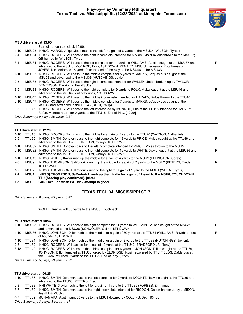#### **Play-by-Play Summary (4th quarter) Texas Tech vs. Mississippi St. (12/28/2021 at Memphis, Tennessee)**



#### **MSU drive start at 15:00**

|          |       | Start of 4th quarter, clock 15:00.                                                                                                                                                                                                                                                        |   |
|----------|-------|-------------------------------------------------------------------------------------------------------------------------------------------------------------------------------------------------------------------------------------------------------------------------------------------|---|
| $1 - 10$ |       | MSU28 [NHSG] MARKS, Jo'quavious rush to the left for a gain of 6 yards to the MSU34 (WILSON, Tyree).                                                                                                                                                                                      |   |
| $2 - 4$  |       | MSU34 [NHSG] ROGERS, Will pass to the right incomplete intended for MARKS, Jo'quavious thrown to the MSU35;<br>QB hurried by WILSON, Tyree.                                                                                                                                               |   |
| $3 - 4$  |       | MSU34 [NHSG] ROGERS, Will pass to the left complete for 14 yards to WILLIAMS, Austin caught at the MSU37 and<br>advanced to the MSU48 (MONROE, Eric), 1ST DOWN. PENALTY MSU Unnecessary Roughness on<br>JONES, Nick enforced 15 yards from the end of the play at the MSU48 to the MSU33. | P |
| $1 - 10$ |       | MSU33 [NHSG] ROGERS, Will pass up the middle complete for 5 yards to MARKS, Jo'quavious caught at the<br>MSU28 and advanced to the MSU38 (HUTCHINGS, Jaylon).                                                                                                                             |   |
| $2 - 5$  |       | MSU38 [NHSG] ROGERS, Will pass to the right incomplete intended for WALLEY, Jaden broken up by TAYLOR-<br>DEMERSON, Dadrion at the MSU39.                                                                                                                                                 |   |
| $3 - 5$  |       | MSU38 [NHSG] ROGERS, Will pass to the right complete for 9 yards to POLK, Makai caught at the MSU46 and<br>advanced to the MSU47, out of bounds, 1ST DOWN.                                                                                                                                | P |
| $1 - 10$ | MSU47 | [NHSG] ROGERS, Will pass up the middle incomplete intended for HARVEY, Rufus thrown to the TTU40.                                                                                                                                                                                         |   |
| $2 - 10$ | MSU47 | [NHSG] ROGERS, Will pass up the middle complete for 7 yards to MARKS, Jo'quavious caught at the<br>MSU42 and advanced to the TTU46 (BLIDI, Philip).                                                                                                                                       |   |
| $3-3$    | TTU46 | [NHSG] ROGERS, Will pass to the left intercepted by MONROE, Eric at the TTU15 intended for HARVEY,<br>Rufus. Monroe return for 0 yards to the TTU15, End of Play. [12:29]                                                                                                                 |   |
|          |       | Drive Summary 9 plays, 26 vards, 2:31                                                                                                                                                                                                                                                     |   |

*Drive Summary: 9 plays, 26 yards, 2:31*

#### **TTU drive start at 12:29**

| 1-10     | TTU15       | [NHSG] BROOKS, Tahj rush up the middle for a gain of 5 yards to the TTU20 (WATSON, Nathaniel).                                                                      |   |
|----------|-------------|---------------------------------------------------------------------------------------------------------------------------------------------------------------------|---|
| $2 - 5$  | TTU20       | [NHSG] SMITH, Donovan pass to the right complete for 48 yards to PRICE, Myles caught at the TTU46 and<br>advanced to the MSU32 (ELLINGTON, Corey), 1ST DOWN.        | P |
| 1-10     |             | MSU32 [NHSG] SMITH, Donovan pass to the left incomplete intended for PRICE, Myles thrown to the MSU5.                                                               |   |
| $2 - 10$ |             | MSU32 [NHSG] SMITH, Donovan pass to the right complete for 19 yards to WHITE, Xavier caught at the MSU36 and<br>advanced to the MSU13 (ELLINGTON, Corey), 1ST DOWN. | P |
| 1-10     |             | MSU13 [NHSG] WHITE, Xavier rush up the middle for a gain of 4 yards to the MSU9 (ELLINGTON, Corey).                                                                 |   |
| 2-6      | MSU9        | [NHSG] THOMPSON, SaRodorick rush up the middle for a gain of 7 yards to the MSU2 (PETERS, Fred),<br>1ST DOWN.                                                       | R |
| $1 - 2$  | MSU2        | [NHSG] THOMPSON, SaRodorick rush to the right for a gain of 1 yard to the MSU1 (WHEAT, Tyrus).                                                                      |   |
| $2 - 1$  | <b>MSU1</b> | [NHSG] THOMPSON, SaRodorick rush up the middle for a gain of 1 yard to the MSU0, TOUCHDOWN<br>TTU (Scoring play confirmed). [08:47]                                 |   |
|          |             |                                                                                                                                                                     |   |

**1-3 MSU3 GARIBAY, Jonathan PAT kick attempt is good.**

#### **TEXAS TECH 34, MISSISSIPPI ST. 7**

*Drive Summary: 8 plays, 85 yards, 3:42*

WOLFF, Trey kickoff 65 yards to the MSU0, Touchback.

#### **MSU drive start at 08:47**

| $1 - 10$ | MSU25 [NHSG] ROGERS, Will pass to the right complete for 11 yards to WILLIAMS, Austin caught at the MSU31<br>and advanced to the MSU36 (SCHOOLER, Colin), 1ST DOWN.                                                                                                            | P |
|----------|--------------------------------------------------------------------------------------------------------------------------------------------------------------------------------------------------------------------------------------------------------------------------------|---|
| $1 - 10$ | MSU36 [NHSG] JOHNSON, Dillon rush up the middle for a gain of 30 yards to the TTU34 (WILLIAMS, Rayshad), out<br>of bounds. 1ST DOWN.                                                                                                                                           | R |
| 1-10     | TTU34 [NHSG] JOHNSON, Dillon rush up the middle for a gain of 2 yards to the TTU32 (HUTCHINGS, Jaylon).                                                                                                                                                                        |   |
| $2 - 8$  | TTU32 [NHSG] ROGERS, Will sacked for a loss of 10 yards at the TTU42 (BRADFORD JR., Tony).                                                                                                                                                                                     |   |
| $3-18$   | TTU42 [NHSG] ROGERS, Will pass up the middle complete for 6 yards to JOHNSON, Dillon caught at the TTU39,<br>JOHNSON, Dillon fumbled at TTU36 forced by ELDRIDGE, Kosi, recovered by TTU FIELDS, DaMarcus at<br>the TTU36, returned 0 yards to the TTU36, End of Play. [06:25] |   |

*Drive Summary: 5 plays, 39 yards, 2:22*

#### **TTU drive start at 06:25**

1-10 TTU36 [NHSG] SMITH, Donovan pass to the left complete for 2 yards to KOONTZ, Travis caught at the TTU35 and advanced to the TTU38 (PETERS, Fred).

2-8 TTU38 [NH] WHITE, Xavier rush to the left for a gain of 1 yard to the TTU39 (FORBES, Emmanuel).

- 3-7 TTU39 [NHSG] SMITH, Donovan pass to the right incomplete intended for RIGDON, Dalton broken up by JIMISON, Jay at the MSU29.
- 4-7 TTU39 MCNAMARA, Austin punt 60 yards to the MSU1 downed by COLLINS, Seth. [04:38]

*Drive Summary: 3 plays, 3 yards, 1:47*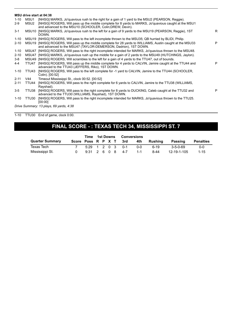| MSU drive start at 04:38 |  |
|--------------------------|--|
|--------------------------|--|

|                                         |                  | .                                                                                                                                                                             |   |  |  |  |  |  |  |
|-----------------------------------------|------------------|-------------------------------------------------------------------------------------------------------------------------------------------------------------------------------|---|--|--|--|--|--|--|
| $1 - 10$                                | MSU1             | [NHSG] MARKS, Jo'quavious rush to the right for a gain of 1 yard to the MSU2 (PEARSON, Reggie).                                                                               |   |  |  |  |  |  |  |
| $2 - 9$                                 | MSU <sub>2</sub> | [NHSG] ROGERS, Will pass up the middle complete for 8 yards to MARKS, Jo'quavious caught at the MSU1<br>and advanced to the MSU10 (SCHOOLER, Colin; DREW, Devin).             |   |  |  |  |  |  |  |
| $3 - 1$                                 |                  | MSU10 [NHSG] MARKS, Jo'quavious rush to the left for a gain of 9 yards to the MSU19 (PEARSON, Reggie), 1ST<br>DOWN.                                                           | R |  |  |  |  |  |  |
| $1 - 10$                                |                  | MSU19 [NHSG] ROGERS, Will pass to the left incomplete thrown to the MSU35; QB hurried by BLIDI, Philip.                                                                       |   |  |  |  |  |  |  |
| $2 - 10$                                |                  | MSU19 [NHSG] ROGERS, Will pass up the middle complete for 28 yards to WILLIAMS, Austin caught at the MSU33<br>and advanced to the MSU47 (TAYLOR-DEMERSON, Dadrion), 1ST DOWN. | P |  |  |  |  |  |  |
| $1 - 10$                                |                  | MSU47 [NHSG] ROGERS, Will pass to the right incomplete intended for MARKS, Jo'quavious thrown to the MSU48.                                                                   |   |  |  |  |  |  |  |
| $2 - 10$                                |                  | MSU47 [NHSG] MARKS, Jo'quavious rush up the middle for a gain of 2 yards to the MSU49 (HUTCHINGS, Jaylon).                                                                    |   |  |  |  |  |  |  |
| $3 - 8$                                 |                  | MSU49 [NHSG] ROGERS, Will scrambles to the left for a gain of 4 yards to the TTU47, out of bounds.                                                                            |   |  |  |  |  |  |  |
| 4-4                                     | TTU47            | [NHSG] ROGERS, Will pass up the middle complete for 4 yards to CALVIN, Jamire caught at the TTU44 and<br>advanced to the TTU43 (JEFFERS, Riko), 1ST DOWN.                     | P |  |  |  |  |  |  |
| $1 - 10$                                | TTU43            | [NHSG] ROGERS, Will pass to the left complete for -1 yard to CALVIN, Jamire to the TTU44 (SCHOOLER,<br>Colin). [00:52]                                                        |   |  |  |  |  |  |  |
| $2 - 11$                                | V44              | Timeout Mississippi St., clock 00:52. [00:52]                                                                                                                                 |   |  |  |  |  |  |  |
| $2 - 11$                                | TTU44            | [NHSG] ROGERS, Will pass to the right complete for 6 yards to CALVIN, Jamire to the TTU38 (WILLIAMS,<br>Rayshad).                                                             |   |  |  |  |  |  |  |
| $3-5$                                   | TTU38            | [NHSG] ROGERS, Will pass to the right complete for 8 yards to DUCKING, Caleb caught at the TTU32 and<br>advanced to the TTU30 (WILLIAMS, Rayshad), 1ST DOWN.                  | P |  |  |  |  |  |  |
| $1 - 10$                                | TTU30            | [NHSG] ROGERS, Will pass to the right incomplete intended for MARKS, Jo'quavious thrown to the TTU25.<br>[00:00]                                                              |   |  |  |  |  |  |  |
| Drive Summary: 13 plays, 69 yards, 4:38 |                  |                                                                                                                                                                               |   |  |  |  |  |  |  |
|                                         |                  |                                                                                                                                                                               |   |  |  |  |  |  |  |

1-10 TTU30 End of game, clock 0:00.

# **FINAL SCORE - : TEXAS TECH 34, MISSISSIPPI ST. 7**

|                        | Time               | 1st Downs          |  |  | <b>Conversions</b> |         |         |         |             |                  |
|------------------------|--------------------|--------------------|--|--|--------------------|---------|---------|---------|-------------|------------------|
| <b>Quarter Summary</b> | Score Poss R P X T |                    |  |  |                    | – 3rd   | 4th     | Rushina | Passing     | <b>Penalties</b> |
| Texas Tech             |                    | $5:29$ 1 2 0 3 0-1 |  |  |                    |         | 0-0     | $6-19$  | 3-5-0-69    | $0 - 0$          |
| Mississippi St.        |                    | 9:31 2 6 0 8       |  |  |                    | $4 - 7$ | $1 - 1$ | $8-44$  | 12-19-1-105 | $1 - 15$         |